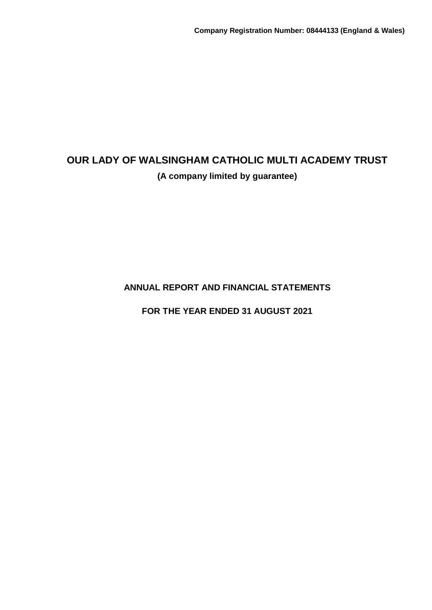**ANNUAL REPORT AND FINANCIAL STATEMENTS**

**FOR THE YEAR ENDED 31 AUGUST 2021**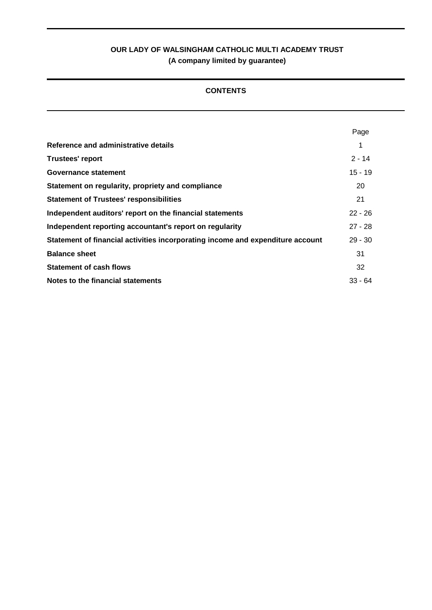## **CONTENTS**

|                                                                                | Page      |
|--------------------------------------------------------------------------------|-----------|
| Reference and administrative details                                           |           |
| <b>Trustees' report</b>                                                        | $2 - 14$  |
| Governance statement                                                           | $15 - 19$ |
| Statement on regularity, propriety and compliance                              | 20        |
| <b>Statement of Trustees' responsibilities</b>                                 | 21        |
| Independent auditors' report on the financial statements                       | $22 - 26$ |
| Independent reporting accountant's report on regularity                        | $27 - 28$ |
| Statement of financial activities incorporating income and expenditure account | $29 - 30$ |
| <b>Balance sheet</b>                                                           | 31        |
| <b>Statement of cash flows</b>                                                 | 32        |
| Notes to the financial statements                                              | $33 - 64$ |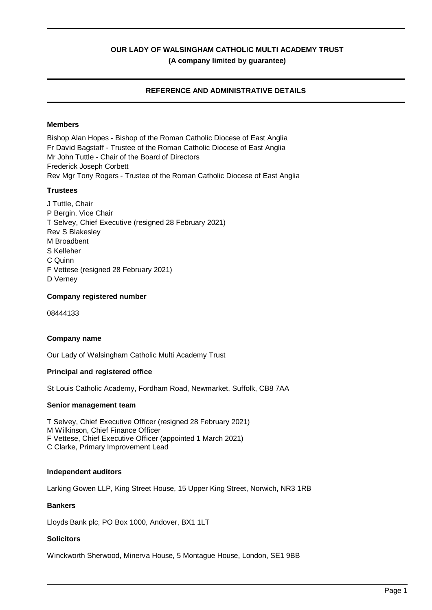## **REFERENCE AND ADMINISTRATIVE DETAILS**

## **Members**

Bishop Alan Hopes - Bishop of the Roman Catholic Diocese of East Anglia Fr David Bagstaff - Trustee of the Roman Catholic Diocese of East Anglia Mr John Tuttle - Chair of the Board of Directors Frederick Joseph Corbett Rev Mgr Tony Rogers - Trustee of the Roman Catholic Diocese of East Anglia

#### **Trustees**

J Tuttle, Chair P Bergin, Vice Chair T Selvey, Chief Executive (resigned 28 February 2021) Rev S Blakesley M Broadbent S Kelleher C Quinn F Vettese (resigned 28 February 2021) D Verney

#### **Company registered number**

08444133

#### **Company name**

Our Lady of Walsingham Catholic Multi Academy Trust

#### **Principal and registered office**

St Louis Catholic Academy, Fordham Road, Newmarket, Suffolk, CB8 7AA

#### **Senior management team**

T Selvey, Chief Executive Officer (resigned 28 February 2021) M Wilkinson, Chief Finance Officer F Vettese, Chief Executive Officer (appointed 1 March 2021) C Clarke, Primary Improvement Lead

## **Independent auditors**

Larking Gowen LLP, King Street House, 15 Upper King Street, Norwich, NR3 1RB

### **Bankers**

Lloyds Bank plc, PO Box 1000, Andover, BX1 1LT

#### **Solicitors**

Winckworth Sherwood, Minerva House, 5 Montague House, London, SE1 9BB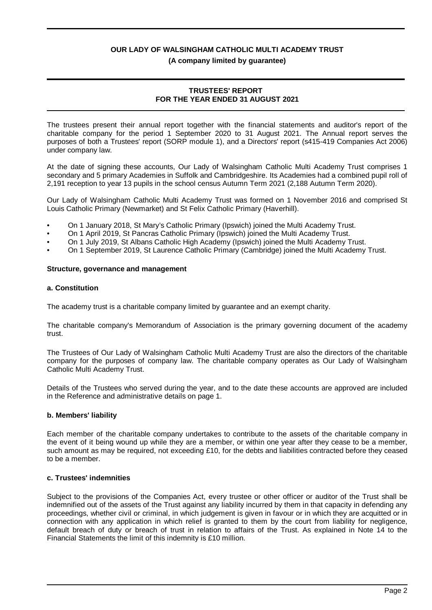#### **(A company limited by guarantee)**

#### **TRUSTEES' REPORT FOR THE YEAR ENDED 31 AUGUST 2021**

The trustees present their annual report together with the financial statements and auditor's report of the charitable company for the period 1 September 2020 to 31 August 2021. The Annual report serves the purposes of both a Trustees' report (SORP module 1), and a Directors' report (s415-419 Companies Act 2006) under company law.

At the date of signing these accounts, Our Lady of Walsingham Catholic Multi Academy Trust comprises 1 secondary and 5 primary Academies in Suffolk and Cambridgeshire. Its Academies had a combined pupil roll of 2,191 reception to year 13 pupils in the school census Autumn Term 2021 (2,188 Autumn Term 2020).

Our Lady of Walsingham Catholic Multi Academy Trust was formed on 1 November 2016 and comprised St Louis Catholic Primary (Newmarket) and St Felix Catholic Primary (Haverhill).

- On 1 January 2018, St Mary's Catholic Primary (Ipswich) joined the Multi Academy Trust.
- On 1 April 2019, St Pancras Catholic Primary (Ipswich) joined the Multi Academy Trust.
- On 1 July 2019, St Albans Catholic High Academy (Ipswich) joined the Multi Academy Trust.
- On 1 September 2019, St Laurence Catholic Primary (Cambridge) joined the Multi Academy Trust.

#### **Structure, governance and management**

#### **a. Constitution**

The academy trust is a charitable company limited by guarantee and an exempt charity.

The charitable company's Memorandum of Association is the primary governing document of the academy trust.

The Trustees of Our Lady of Walsingham Catholic Multi Academy Trust are also the directors of the charitable company for the purposes of company law. The charitable company operates as Our Lady of Walsingham Catholic Multi Academy Trust.

Details of the Trustees who served during the year, and to the date these accounts are approved are included in the Reference and administrative details on page 1.

#### **b. Members' liability**

Each member of the charitable company undertakes to contribute to the assets of the charitable company in the event of it being wound up while they are a member, or within one year after they cease to be a member, such amount as may be required, not exceeding £10, for the debts and liabilities contracted before they ceased to be a member.

#### **c. Trustees' indemnities**

Subject to the provisions of the Companies Act, every trustee or other officer or auditor of the Trust shall be indemnified out of the assets of the Trust against any liability incurred by them in that capacity in defending any proceedings, whether civil or criminal, in which judgement is given in favour or in which they are acquitted or in connection with any application in which relief is granted to them by the court from liability for negligence, default breach of duty or breach of trust in relation to affairs of the Trust. As explained in Note 14 to the Financial Statements the limit of this indemnity is £10 million.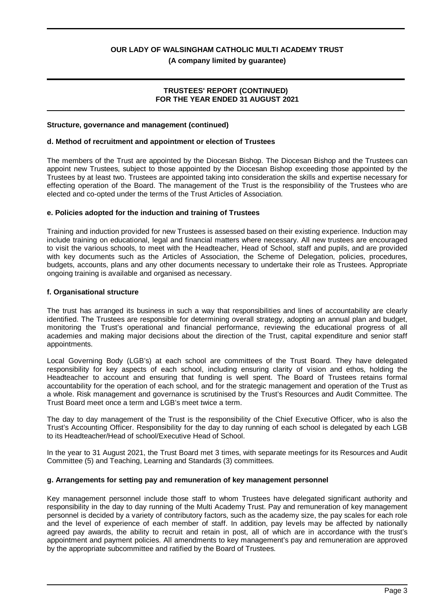**(A company limited by guarantee)**

#### **TRUSTEES' REPORT (CONTINUED) FOR THE YEAR ENDED 31 AUGUST 2021**

#### **Structure, governance and management (continued)**

#### **d. Method of recruitment and appointment or election of Trustees**

The members of the Trust are appointed by the Diocesan Bishop. The Diocesan Bishop and the Trustees can appoint new Trustees, subject to those appointed by the Diocesan Bishop exceeding those appointed by the Trustees by at least two. Trustees are appointed taking into consideration the skills and expertise necessary for effecting operation of the Board. The management of the Trust is the responsibility of the Trustees who are elected and co-opted under the terms of the Trust Articles of Association.

#### **e. Policies adopted for the induction and training of Trustees**

Training and induction provided for new Trustees is assessed based on their existing experience. Induction may include training on educational, legal and financial matters where necessary. All new trustees are encouraged to visit the various schools, to meet with the Headteacher, Head of School, staff and pupils, and are provided with key documents such as the Articles of Association, the Scheme of Delegation, policies, procedures, budgets, accounts, plans and any other documents necessary to undertake their role as Trustees. Appropriate ongoing training is available and organised as necessary.

#### **f. Organisational structure**

The trust has arranged its business in such a way that responsibilities and lines of accountability are clearly identified. The Trustees are responsible for determining overall strategy, adopting an annual plan and budget, monitoring the Trust's operational and financial performance, reviewing the educational progress of all academies and making major decisions about the direction of the Trust, capital expenditure and senior staff appointments.

Local Governing Body (LGB's) at each school are committees of the Trust Board. They have delegated responsibility for key aspects of each school, including ensuring clarity of vision and ethos, holding the Headteacher to account and ensuring that funding is well spent. The Board of Trustees retains formal accountability for the operation of each school, and for the strategic management and operation of the Trust as a whole. Risk management and governance is scrutinised by the Trust's Resources and Audit Committee. The Trust Board meet once a term and LGB's meet twice a term.

The day to day management of the Trust is the responsibility of the Chief Executive Officer, who is also the Trust's Accounting Officer. Responsibility for the day to day running of each school is delegated by each LGB to its Headteacher/Head of school/Executive Head of School.

In the year to 31 August 2021, the Trust Board met 3 times, with separate meetings for its Resources and Audit Committee (5) and Teaching, Learning and Standards (3) committees.

#### **g. Arrangements for setting pay and remuneration of key management personnel**

Key management personnel include those staff to whom Trustees have delegated significant authority and responsibility in the day to day running of the Multi Academy Trust. Pay and remuneration of key management personnel is decided by a variety of contributory factors, such as the academy size, the pay scales for each role and the level of experience of each member of staff. In addition, pay levels may be affected by nationally agreed pay awards, the ability to recruit and retain in post, all of which are in accordance with the trust's appointment and payment policies. All amendments to key management's pay and remuneration are approved by the appropriate subcommittee and ratified by the Board of Trustees.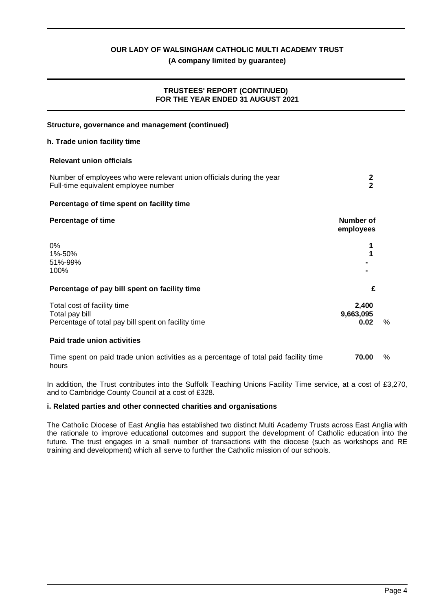## **(A company limited by guarantee)**

## **TRUSTEES' REPORT (CONTINUED) FOR THE YEAR ENDED 31 AUGUST 2021**

| Structure, governance and management (continued)                                                              |                               |      |
|---------------------------------------------------------------------------------------------------------------|-------------------------------|------|
| h. Trade union facility time                                                                                  |                               |      |
| <b>Relevant union officials</b>                                                                               |                               |      |
| Number of employees who were relevant union officials during the year<br>Full-time equivalent employee number | $\frac{2}{2}$                 |      |
| Percentage of time spent on facility time                                                                     |                               |      |
| <b>Percentage of time</b>                                                                                     | <b>Number of</b><br>employees |      |
| 0%<br>1%-50%<br>51%-99%<br>100%                                                                               |                               |      |
| Percentage of pay bill spent on facility time                                                                 | £                             |      |
| Total cost of facility time<br>Total pay bill<br>Percentage of total pay bill spent on facility time          | 2,400<br>9,663,095<br>0.02    | $\%$ |
| Paid trade union activities                                                                                   |                               |      |
| Time spent on paid trade union activities as a percentage of total paid facility time<br>hours                | 70.00                         | $\%$ |

In addition, the Trust contributes into the Suffolk Teaching Unions Facility Time service, at a cost of £3,270, and to Cambridge County Council at a cost of £328.

## **i. Related parties and other connected charities and organisations**

The Catholic Diocese of East Anglia has established two distinct Multi Academy Trusts across East Anglia with the rationale to improve educational outcomes and support the development of Catholic education into the future. The trust engages in a small number of transactions with the diocese (such as workshops and RE training and development) which all serve to further the Catholic mission of our schools.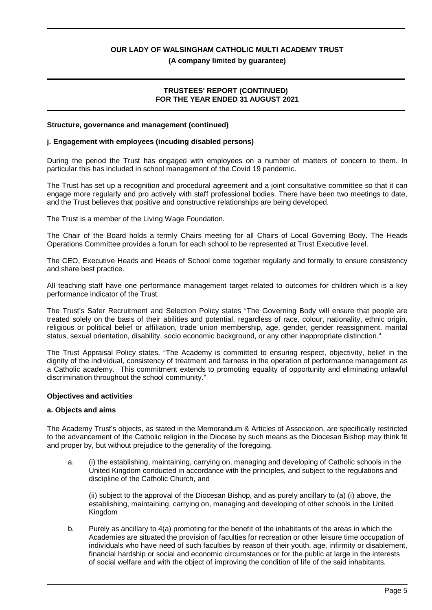**(A company limited by guarantee)**

#### **TRUSTEES' REPORT (CONTINUED) FOR THE YEAR ENDED 31 AUGUST 2021**

#### **Structure, governance and management (continued)**

#### **j. Engagement with employees (incuding disabled persons)**

During the period the Trust has engaged with employees on a number of matters of concern to them. In particular this has included in school management of the Covid 19 pandemic.

The Trust has set up a recognition and procedural agreement and a joint consultative committee so that it can engage more regularly and pro actively with staff professional bodies. There have been two meetings to date, and the Trust believes that positive and constructive relationships are being developed.

The Trust is a member of the Living Wage Foundation.

The Chair of the Board holds a termly Chairs meeting for all Chairs of Local Governing Body. The Heads Operations Committee provides a forum for each school to be represented at Trust Executive level.

The CEO, Executive Heads and Heads of School come together regularly and formally to ensure consistency and share best practice.

All teaching staff have one performance management target related to outcomes for children which is a key performance indicator of the Trust.

The Trust's Safer Recruitment and Selection Policy states "The Governing Body will ensure that people are treated solely on the basis of their abilities and potential, regardless of race, colour, nationality, ethnic origin, religious or political belief or affiliation, trade union membership, age, gender, gender reassignment, marital status, sexual orientation, disability, socio economic background, or any other inappropriate distinction.".

The Trust Appraisal Policy states, "The Academy is committed to ensuring respect, objectivity, belief in the dignity of the individual, consistency of treatment and fairness in the operation of performance management as a Catholic academy. This commitment extends to promoting equality of opportunity and eliminating unlawful discrimination throughout the school community."

#### **Objectives and activities**

#### **a. Objects and aims**

The Academy Trust's objects, as stated in the Memorandum & Articles of Association, are specifically restricted to the advancement of the Catholic religion in the Diocese by such means as the Diocesan Bishop may think fit and proper by, but without prejudice to the generality of the foregoing.

a. (i) the establishing, maintaining, carrying on, managing and developing of Catholic schools in the United Kingdom conducted in accordance with the principles, and subject to the regulations and discipline of the Catholic Church, and

(ii) subject to the approval of the Diocesan Bishop, and as purely ancillary to (a) (i) above, the establishing, maintaining, carrying on, managing and developing of other schools in the United Kingdom

b. Purely as ancillary to 4(a) promoting for the benefit of the inhabitants of the areas in which the Academies are situated the provision of faculties for recreation or other leisure time occupation of individuals who have need of such faculties by reason of their youth, age, infirmity or disablement, financial hardship or social and economic circumstances or for the public at large in the interests of social welfare and with the object of improving the condition of life of the said inhabitants.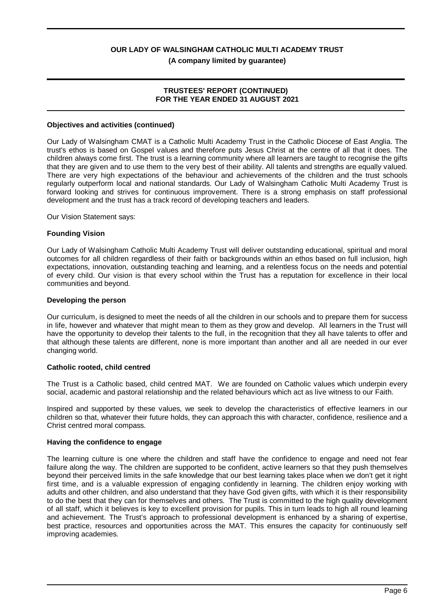## **(A company limited by guarantee)**

#### **TRUSTEES' REPORT (CONTINUED) FOR THE YEAR ENDED 31 AUGUST 2021**

#### **Objectives and activities (continued)**

Our Lady of Walsingham CMAT is a Catholic Multi Academy Trust in the Catholic Diocese of East Anglia. The trust's ethos is based on Gospel values and therefore puts Jesus Christ at the centre of all that it does. The children always come first. The trust is a learning community where all learners are taught to recognise the gifts that they are given and to use them to the very best of their ability. All talents and strengths are equally valued. There are very high expectations of the behaviour and achievements of the children and the trust schools regularly outperform local and national standards. Our Lady of Walsingham Catholic Multi Academy Trust is forward looking and strives for continuous improvement. There is a strong emphasis on staff professional development and the trust has a track record of developing teachers and leaders.

Our Vision Statement says:

#### **Founding Vision**

Our Lady of Walsingham Catholic Multi Academy Trust will deliver outstanding educational, spiritual and moral outcomes for all children regardless of their faith or backgrounds within an ethos based on full inclusion, high expectations, innovation, outstanding teaching and learning, and a relentless focus on the needs and potential of every child. Our vision is that every school within the Trust has a reputation for excellence in their local communities and beyond.

#### **Developing the person**

Our curriculum, is designed to meet the needs of all the children in our schools and to prepare them for success in life, however and whatever that might mean to them as they grow and develop. All learners in the Trust will have the opportunity to develop their talents to the full, in the recognition that they all have talents to offer and that although these talents are different, none is more important than another and all are needed in our ever changing world.

#### **Catholic rooted, child centred**

The Trust is a Catholic based, child centred MAT. We are founded on Catholic values which underpin every social, academic and pastoral relationship and the related behaviours which act as live witness to our Faith.

Inspired and supported by these values, we seek to develop the characteristics of effective learners in our children so that, whatever their future holds, they can approach this with character, confidence, resilience and a Christ centred moral compass.

#### **Having the confidence to engage**

The learning culture is one where the children and staff have the confidence to engage and need not fear failure along the way. The children are supported to be confident, active learners so that they push themselves beyond their perceived limits in the safe knowledge that our best learning takes place when we don't get it right first time, and is a valuable expression of engaging confidently in learning. The children enjoy working with adults and other children, and also understand that they have God given gifts, with which it is their responsibility to do the best that they can for themselves and others. The Trust is committed to the high quality development of all staff, which it believes is key to excellent provision for pupils. This in turn leads to high all round learning and achievement. The Trust's approach to professional development is enhanced by a sharing of expertise, best practice, resources and opportunities across the MAT. This ensures the capacity for continuously self improving academies.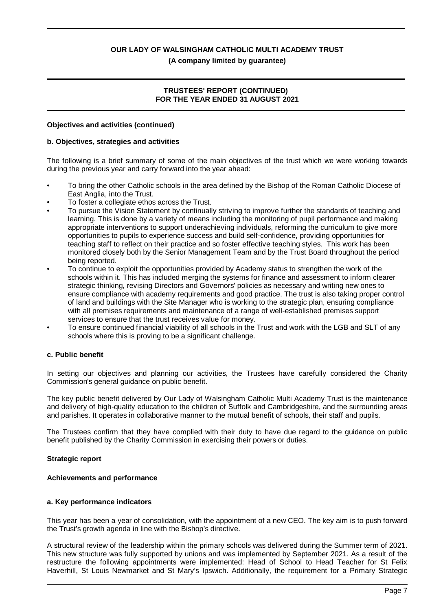**(A company limited by guarantee)**

## **TRUSTEES' REPORT (CONTINUED) FOR THE YEAR ENDED 31 AUGUST 2021**

#### **Objectives and activities (continued)**

#### **b. Objectives, strategies and activities**

The following is a brief summary of some of the main objectives of the trust which we were working towards during the previous year and carry forward into the year ahead:

- To bring the other Catholic schools in the area defined by the Bishop of the Roman Catholic Diocese of East Anglia, into the Trust.
- To foster a collegiate ethos across the Trust.
- To pursue the Vision Statement by continually striving to improve further the standards of teaching and learning. This is done by a variety of means including the monitoring of pupil performance and making appropriate interventions to support underachieving individuals, reforming the curriculum to give more opportunities to pupils to experience success and build self-confidence, providing opportunities for teaching staff to reflect on their practice and so foster effective teaching styles. This work has been monitored closely both by the Senior Management Team and by the Trust Board throughout the period being reported.
- To continue to exploit the opportunities provided by Academy status to strengthen the work of the schools within it. This has included merging the systems for finance and assessment to inform clearer strategic thinking, revising Directors and Governors' policies as necessary and writing new ones to ensure compliance with academy requirements and good practice. The trust is also taking proper control of land and buildings with the Site Manager who is working to the strategic plan, ensuring compliance with all premises requirements and maintenance of a range of well-established premises support services to ensure that the trust receives value for money.
- To ensure continued financial viability of all schools in the Trust and work with the LGB and SLT of any schools where this is proving to be a significant challenge.

#### **c. Public benefit**

In setting our objectives and planning our activities, the Trustees have carefully considered the Charity Commission's general guidance on public benefit.

The key public benefit delivered by Our Lady of Walsingham Catholic Multi Academy Trust is the maintenance and delivery of high-quality education to the children of Suffolk and Cambridgeshire, and the surrounding areas and parishes. It operates in collaborative manner to the mutual benefit of schools, their staff and pupils.

The Trustees confirm that they have complied with their duty to have due regard to the guidance on public benefit published by the Charity Commission in exercising their powers or duties.

#### **Strategic report**

#### **Achievements and performance**

#### **a. Key performance indicators**

This year has been a year of consolidation, with the appointment of a new CEO. The key aim is to push forward the Trust's growth agenda in line with the Bishop's directive.

A structural review of the leadership within the primary schools was delivered during the Summer term of 2021. This new structure was fully supported by unions and was implemented by September 2021. As a result of the restructure the following appointments were implemented: Head of School to Head Teacher for St Felix Haverhill, St Louis Newmarket and St Mary's Ipswich. Additionally, the requirement for a Primary Strategic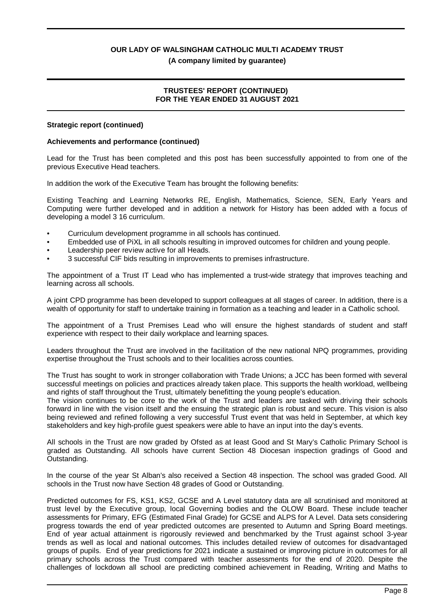#### **(A company limited by guarantee)**

## **TRUSTEES' REPORT (CONTINUED) FOR THE YEAR ENDED 31 AUGUST 2021**

#### **Strategic report (continued)**

## **Achievements and performance (continued)**

Lead for the Trust has been completed and this post has been successfully appointed to from one of the previous Executive Head teachers.

In addition the work of the Executive Team has brought the following benefits:

Existing Teaching and Learning Networks RE, English, Mathematics, Science, SEN, Early Years and Computing were further developed and in addition a network for History has been added with a focus of developing a model 3 16 curriculum.

- Curriculum development programme in all schools has continued.
- Embedded use of PiXL in all schools resulting in improved outcomes for children and young people.
- Leadership peer review active for all Heads.
- 3 successful CIF bids resulting in improvements to premises infrastructure.

The appointment of a Trust IT Lead who has implemented a trust-wide strategy that improves teaching and learning across all schools.

A joint CPD programme has been developed to support colleagues at all stages of career. In addition, there is a wealth of opportunity for staff to undertake training in formation as a teaching and leader in a Catholic school.

The appointment of a Trust Premises Lead who will ensure the highest standards of student and staff experience with respect to their daily workplace and learning spaces.

Leaders throughout the Trust are involved in the facilitation of the new national NPQ programmes, providing expertise throughout the Trust schools and to their localities across counties.

The Trust has sought to work in stronger collaboration with Trade Unions; a JCC has been formed with several successful meetings on policies and practices already taken place. This supports the health workload, wellbeing and rights of staff throughout the Trust, ultimately benefitting the young people's education.

The vision continues to be core to the work of the Trust and leaders are tasked with driving their schools forward in line with the vision itself and the ensuing the strategic plan is robust and secure. This vision is also being reviewed and refined following a very successful Trust event that was held in September, at which key stakeholders and key high-profile guest speakers were able to have an input into the day's events.

All schools in the Trust are now graded by Ofsted as at least Good and St Mary's Catholic Primary School is graded as Outstanding. All schools have current Section 48 Diocesan inspection gradings of Good and Outstanding.

In the course of the year St Alban's also received a Section 48 inspection. The school was graded Good. All schools in the Trust now have Section 48 grades of Good or Outstanding.

Predicted outcomes for FS, KS1, KS2, GCSE and A Level statutory data are all scrutinised and monitored at trust level by the Executive group, local Governing bodies and the OLOW Board. These include teacher assessments for Primary, EFG (Estimated Final Grade) for GCSE and ALPS for A Level. Data sets considering progress towards the end of year predicted outcomes are presented to Autumn and Spring Board meetings. End of year actual attainment is rigorously reviewed and benchmarked by the Trust against school 3-year trends as well as local and national outcomes. This includes detailed review of outcomes for disadvantaged groups of pupils. End of year predictions for 2021 indicate a sustained or improving picture in outcomes for all primary schools across the Trust compared with teacher assessments for the end of 2020. Despite the challenges of lockdown all school are predicting combined achievement in Reading, Writing and Maths to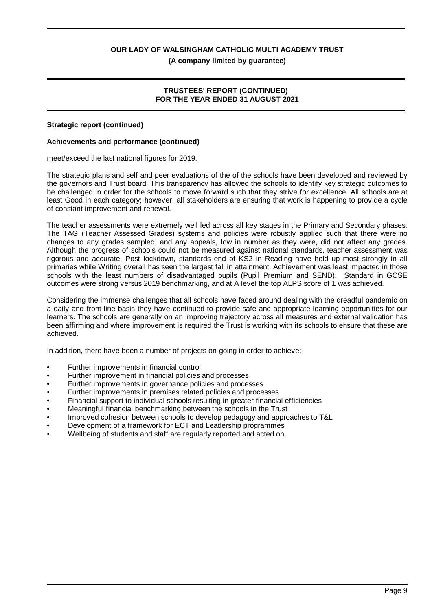**(A company limited by guarantee)**

## **TRUSTEES' REPORT (CONTINUED) FOR THE YEAR ENDED 31 AUGUST 2021**

#### **Strategic report (continued)**

#### **Achievements and performance (continued)**

meet/exceed the last national figures for 2019.

The strategic plans and self and peer evaluations of the of the schools have been developed and reviewed by the governors and Trust board. This transparency has allowed the schools to identify key strategic outcomes to be challenged in order for the schools to move forward such that they strive for excellence. All schools are at least Good in each category; however, all stakeholders are ensuring that work is happening to provide a cycle of constant improvement and renewal.

The teacher assessments were extremely well led across all key stages in the Primary and Secondary phases. The TAG (Teacher Assessed Grades) systems and policies were robustly applied such that there were no changes to any grades sampled, and any appeals, low in number as they were, did not affect any grades. Although the progress of schools could not be measured against national standards, teacher assessment was rigorous and accurate. Post lockdown, standards end of KS2 in Reading have held up most strongly in all primaries while Writing overall has seen the largest fall in attainment. Achievement was least impacted in those schools with the least numbers of disadvantaged pupils (Pupil Premium and SEND). Standard in GCSE outcomes were strong versus 2019 benchmarking, and at A level the top ALPS score of 1 was achieved.

Considering the immense challenges that all schools have faced around dealing with the dreadful pandemic on a daily and front-line basis they have continued to provide safe and appropriate learning opportunities for our learners. The schools are generally on an improving trajectory across all measures and external validation has been affirming and where improvement is required the Trust is working with its schools to ensure that these are achieved.

In addition, there have been a number of projects on-going in order to achieve;

- Further improvements in financial control
- Further improvement in financial policies and processes
- Further improvements in governance policies and processes
- Further improvements in premises related policies and processes
- Financial support to individual schools resulting in greater financial efficiencies
- Meaningful financial benchmarking between the schools in the Trust
- Improved cohesion between schools to develop pedagogy and approaches to T&L
- Development of a framework for ECT and Leadership programmes
- Wellbeing of students and staff are regularly reported and acted on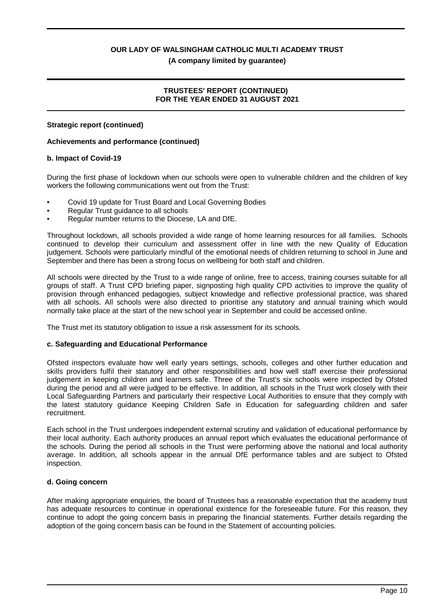#### **(A company limited by guarantee)**

#### **TRUSTEES' REPORT (CONTINUED) FOR THE YEAR ENDED 31 AUGUST 2021**

#### **Strategic report (continued)**

#### **Achievements and performance (continued)**

#### **b. Impact of Covid-19**

During the first phase of lockdown when our schools were open to vulnerable children and the children of key workers the following communications went out from the Trust:

- Covid 19 update for Trust Board and Local Governing Bodies
- Regular Trust guidance to all schools
- Regular number returns to the Diocese, LA and DfE.

Throughout lockdown, all schools provided a wide range of home learning resources for all families. Schools continued to develop their curriculum and assessment offer in line with the new Quality of Education judgement. Schools were particularly mindful of the emotional needs of children returning to school in June and September and there has been a strong focus on wellbeing for both staff and children.

All schools were directed by the Trust to a wide range of online, free to access, training courses suitable for all groups of staff. A Trust CPD briefing paper, signposting high quality CPD activities to improve the quality of provision through enhanced pedagogies, subject knowledge and reflective professional practice, was shared with all schools. All schools were also directed to prioritise any statutory and annual training which would normally take place at the start of the new school year in September and could be accessed online.

The Trust met its statutory obligation to issue a risk assessment for its schools.

#### **c. Safeguarding and Educational Performance**

Ofsted inspectors evaluate how well early years settings, schools, colleges and other further education and skills providers fulfil their statutory and other responsibilities and how well staff exercise their professional judgement in keeping children and learners safe. Three of the Trust's six schools were inspected by Ofsted during the period and all were judged to be effective. In addition, all schools in the Trust work closely with their Local Safeguarding Partners and particularly their respective Local Authorities to ensure that they comply with the latest statutory guidance Keeping Children Safe in Education for safeguarding children and safer recruitment.

Each school in the Trust undergoes independent external scrutiny and validation of educational performance by their local authority. Each authority produces an annual report which evaluates the educational performance of the schools. During the period all schools in the Trust were performing above the national and local authority average. In addition, all schools appear in the annual DfE performance tables and are subject to Ofsted inspection.

#### **d. Going concern**

After making appropriate enquiries, the board of Trustees has a reasonable expectation that the academy trust has adequate resources to continue in operational existence for the foreseeable future. For this reason, they continue to adopt the going concern basis in preparing the financial statements. Further details regarding the adoption of the going concern basis can be found in the Statement of accounting policies.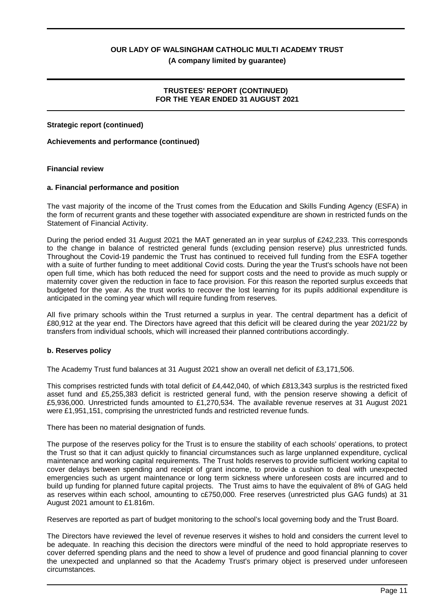**(A company limited by guarantee)**

## **TRUSTEES' REPORT (CONTINUED) FOR THE YEAR ENDED 31 AUGUST 2021**

### **Strategic report (continued)**

## **Achievements and performance (continued)**

#### **Financial review**

## **a. Financial performance and position**

The vast majority of the income of the Trust comes from the Education and Skills Funding Agency (ESFA) in the form of recurrent grants and these together with associated expenditure are shown in restricted funds on the Statement of Financial Activity.

During the period ended 31 August 2021 the MAT generated an in year surplus of £242,233. This corresponds to the change in balance of restricted general funds (excluding pension reserve) plus unrestricted funds. Throughout the Covid-19 pandemic the Trust has continued to received full funding from the ESFA together with a suite of further funding to meet additional Covid costs. During the year the Trust's schools have not been open full time, which has both reduced the need for support costs and the need to provide as much supply or maternity cover given the reduction in face to face provision. For this reason the reported surplus exceeds that budgeted for the year. As the trust works to recover the lost learning for its pupils additional expenditure is anticipated in the coming year which will require funding from reserves.

All five primary schools within the Trust returned a surplus in year. The central department has a deficit of £80,912 at the year end. The Directors have agreed that this deficit will be cleared during the year 2021/22 by transfers from individual schools, which will increased their planned contributions accordingly.

#### **b. Reserves policy**

The Academy Trust fund balances at 31 August 2021 show an overall net deficit of £3,171,506.

This comprises restricted funds with total deficit of £4,442,040, of which £813,343 surplus is the restricted fixed asset fund and £5,255,383 deficit is restricted general fund, with the pension reserve showing a deficit of £5,936,000. Unrestricted funds amounted to £1,270,534. The available revenue reserves at 31 August 2021 were £1,951,151, comprising the unrestricted funds and restricted revenue funds.

There has been no material designation of funds.

The purpose of the reserves policy for the Trust is to ensure the stability of each schools' operations, to protect the Trust so that it can adjust quickly to financial circumstances such as large unplanned expenditure, cyclical maintenance and working capital requirements. The Trust holds reserves to provide sufficient working capital to cover delays between spending and receipt of grant income, to provide a cushion to deal with unexpected emergencies such as urgent maintenance or long term sickness where unforeseen costs are incurred and to build up funding for planned future capital projects. The Trust aims to have the equivalent of 8% of GAG held as reserves within each school, amounting to c£750,000. Free reserves (unrestricted plus GAG funds) at 31 August 2021 amount to £1.816m.

Reserves are reported as part of budget monitoring to the school's local governing body and the Trust Board.

The Directors have reviewed the level of revenue reserves it wishes to hold and considers the current level to be adequate. In reaching this decision the directors were mindful of the need to hold appropriate reserves to cover deferred spending plans and the need to show a level of prudence and good financial planning to cover the unexpected and unplanned so that the Academy Trust's primary object is preserved under unforeseen circumstances.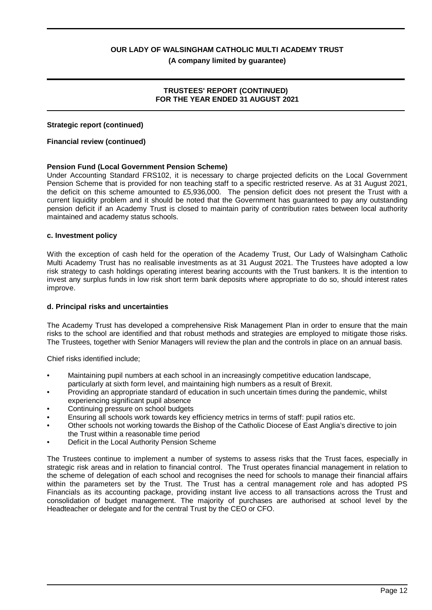**(A company limited by guarantee)**

## **TRUSTEES' REPORT (CONTINUED) FOR THE YEAR ENDED 31 AUGUST 2021**

### **Strategic report (continued)**

### **Financial review (continued)**

## **Pension Fund (Local Government Pension Scheme)**

Under Accounting Standard FRS102, it is necessary to charge projected deficits on the Local Government Pension Scheme that is provided for non teaching staff to a specific restricted reserve. As at 31 August 2021, the deficit on this scheme amounted to £5,936,000. The pension deficit does not present the Trust with a current liquidity problem and it should be noted that the Government has guaranteed to pay any outstanding pension deficit if an Academy Trust is closed to maintain parity of contribution rates between local authority maintained and academy status schools.

#### **c. Investment policy**

With the exception of cash held for the operation of the Academy Trust, Our Lady of Walsingham Catholic Multi Academy Trust has no realisable investments as at 31 August 2021. The Trustees have adopted a low risk strategy to cash holdings operating interest bearing accounts with the Trust bankers. It is the intention to invest any surplus funds in low risk short term bank deposits where appropriate to do so, should interest rates improve.

#### **d. Principal risks and uncertainties**

The Academy Trust has developed a comprehensive Risk Management Plan in order to ensure that the main risks to the school are identified and that robust methods and strategies are employed to mitigate those risks. The Trustees, together with Senior Managers will review the plan and the controls in place on an annual basis.

Chief risks identified include;

- Maintaining pupil numbers at each school in an increasingly competitive education landscape, particularly at sixth form level, and maintaining high numbers as a result of Brexit.
- Providing an appropriate standard of education in such uncertain times during the pandemic, whilst experiencing significant pupil absence
- Continuing pressure on school budgets
- Ensuring all schools work towards key efficiency metrics in terms of staff: pupil ratios etc.
- Other schools not working towards the Bishop of the Catholic Diocese of East Anglia's directive to join the Trust within a reasonable time period
- Deficit in the Local Authority Pension Scheme

The Trustees continue to implement a number of systems to assess risks that the Trust faces, especially in strategic risk areas and in relation to financial control. The Trust operates financial management in relation to the scheme of delegation of each school and recognises the need for schools to manage their financial affairs within the parameters set by the Trust. The Trust has a central management role and has adopted PS Financials as its accounting package, providing instant live access to all transactions across the Trust and consolidation of budget management. The majority of purchases are authorised at school level by the Headteacher or delegate and for the central Trust by the CEO or CFO.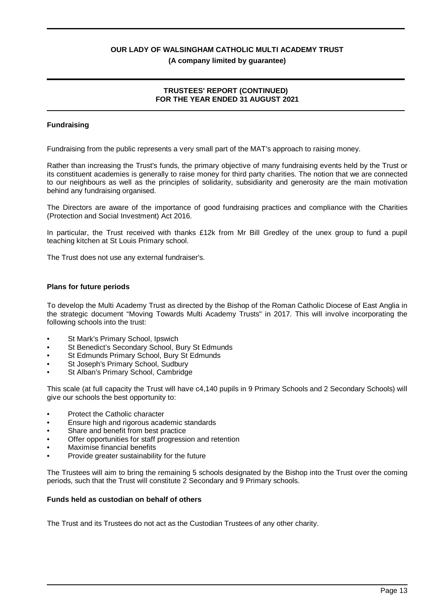### **(A company limited by guarantee)**

## **TRUSTEES' REPORT (CONTINUED) FOR THE YEAR ENDED 31 AUGUST 2021**

## **Fundraising**

Fundraising from the public represents a very small part of the MAT's approach to raising money.

Rather than increasing the Trust's funds, the primary objective of many fundraising events held by the Trust or its constituent academies is generally to raise money for third party charities. The notion that we are connected to our neighbours as well as the principles of solidarity, subsidiarity and generosity are the main motivation behind any fundraising organised.

The Directors are aware of the importance of good fundraising practices and compliance with the Charities (Protection and Social Investment) Act 2016.

In particular, the Trust received with thanks £12k from Mr Bill Gredley of the unex group to fund a pupil teaching kitchen at St Louis Primary school.

The Trust does not use any external fundraiser's.

#### **Plans for future periods**

To develop the Multi Academy Trust as directed by the Bishop of the Roman Catholic Diocese of East Anglia in the strategic document "Moving Towards Multi Academy Trusts" in 2017. This will involve incorporating the following schools into the trust:

- St Mark's Primary School, Ipswich
- St Benedict's Secondary School, Bury St Edmunds
- St Edmunds Primary School, Bury St Edmunds
- St Joseph's Primary School, Sudbury
- St Alban's Primary School, Cambridge

This scale (at full capacity the Trust will have c4,140 pupils in 9 Primary Schools and 2 Secondary Schools) will give our schools the best opportunity to:

- Protect the Catholic character
- Ensure high and rigorous academic standards
- Share and benefit from best practice
- Offer opportunities for staff progression and retention
- Maximise financial benefits
- Provide greater sustainability for the future

The Trustees will aim to bring the remaining 5 schools designated by the Bishop into the Trust over the coming periods, such that the Trust will constitute 2 Secondary and 9 Primary schools.

#### **Funds held as custodian on behalf of others**

The Trust and its Trustees do not act as the Custodian Trustees of any other charity.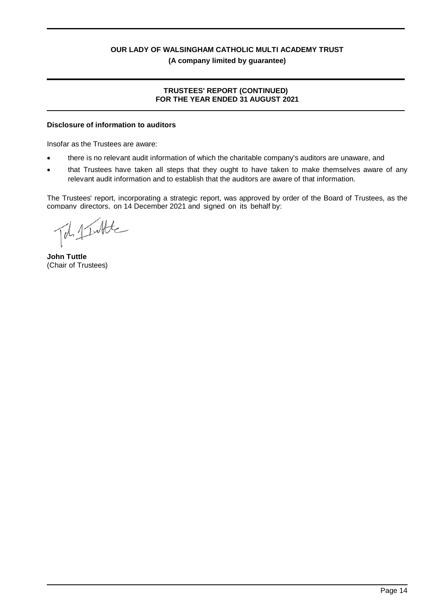## **TRUSTEES' REPORT (CONTINUED) FOR THE YEAR ENDED 31 AUGUST 2021**

## **Disclosure of information to auditors**

Insofar as the Trustees are aware:

- there is no relevant audit information of which the charitable company's auditors are unaware, and
- that Trustees have taken all steps that they ought to have taken to make themselves aware of any relevant audit information and to establish that the auditors are aware of that information.

The Trustees' report, incorporating a strategic report, was approved by order of the Board of Trustees, as the company directors, on 14 December 2021 and signed on its behalf by:

Tob 1 Intile

**John Tuttle** (Chair of Trustees)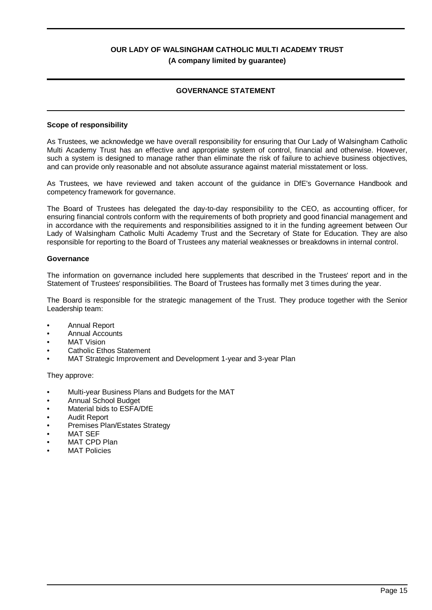## **GOVERNANCE STATEMENT**

#### **Scope of responsibility**

As Trustees, we acknowledge we have overall responsibility for ensuring that Our Lady of Walsingham Catholic Multi Academy Trust has an effective and appropriate system of control, financial and otherwise. However, such a system is designed to manage rather than eliminate the risk of failure to achieve business objectives, and can provide only reasonable and not absolute assurance against material misstatement or loss.

As Trustees, we have reviewed and taken account of the guidance in DfE's Governance Handbook and competency framework for governance.

The Board of Trustees has delegated the day-to-day responsibility to the CEO, as accounting officer, for ensuring financial controls conform with the requirements of both propriety and good financial management and in accordance with the requirements and responsibilities assigned to it in the funding agreement between Our Lady of Walsingham Catholic Multi Academy Trust and the Secretary of State for Education. They are also responsible for reporting to the Board of Trustees any material weaknesses or breakdowns in internal control.

#### **Governance**

The information on governance included here supplements that described in the Trustees' report and in the Statement of Trustees' responsibilities. The Board of Trustees has formally met 3 times during the year.

The Board is responsible for the strategic management of the Trust. They produce together with the Senior Leadership team:

- Annual Report
- Annual Accounts
- **MAT Vision**
- Catholic Ethos Statement
- MAT Strategic Improvement and Development 1-year and 3-year Plan

They approve:

- Multi-year Business Plans and Budgets for the MAT
- Annual School Budget
- Material bids to ESFA/DfE
- Audit Report
- Premises Plan/Estates Strategy
- **MAT SEF**
- MAT CPD Plan
- **MAT Policies**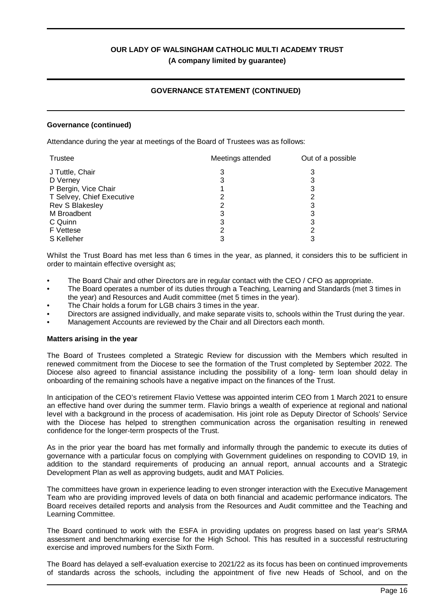## **GOVERNANCE STATEMENT (CONTINUED)**

#### **Governance (continued)**

Attendance during the year at meetings of the Board of Trustees was as follows:

| Trustee                   | Meetings attended | Out of a possible |
|---------------------------|-------------------|-------------------|
| J Tuttle, Chair           |                   |                   |
| D Verney                  | 3                 | 3                 |
| P Bergin, Vice Chair      |                   | 3                 |
| T Selvey, Chief Executive |                   | 2                 |
| Rev S Blakesley           |                   |                   |
| M Broadbent               | 3                 | 3                 |
| C Quinn                   | 3                 | 3                 |
| <b>F</b> Vettese          |                   |                   |
| S Kelleher                |                   |                   |

Whilst the Trust Board has met less than 6 times in the year, as planned, it considers this to be sufficient in order to maintain effective oversight as;

- The Board Chair and other Directors are in regular contact with the CEO / CFO as appropriate.
- The Board operates a number of its duties through a Teaching, Learning and Standards (met 3 times in the year) and Resources and Audit committee (met 5 times in the year).
- The Chair holds a forum for LGB chairs 3 times in the year.
- Directors are assigned individually, and make separate visits to, schools within the Trust during the year.
- Management Accounts are reviewed by the Chair and all Directors each month.

#### **Matters arising in the year**

The Board of Trustees completed a Strategic Review for discussion with the Members which resulted in renewed commitment from the Diocese to see the formation of the Trust completed by September 2022. The Diocese also agreed to financial assistance including the possibility of a long- term loan should delay in onboarding of the remaining schools have a negative impact on the finances of the Trust.

In anticipation of the CEO's retirement Flavio Vettese was appointed interim CEO from 1 March 2021 to ensure an effective hand over during the summer term. Flavio brings a wealth of experience at regional and national level with a background in the process of academisation. His joint role as Deputy Director of Schools' Service with the Diocese has helped to strengthen communication across the organisation resulting in renewed confidence for the longer-term prospects of the Trust.

As in the prior year the board has met formally and informally through the pandemic to execute its duties of governance with a particular focus on complying with Government guidelines on responding to COVID 19, in addition to the standard requirements of producing an annual report, annual accounts and a Strategic Development Plan as well as approving budgets, audit and MAT Policies.

The committees have grown in experience leading to even stronger interaction with the Executive Management Team who are providing improved levels of data on both financial and academic performance indicators. The Board receives detailed reports and analysis from the Resources and Audit committee and the Teaching and Learning Committee.

The Board continued to work with the ESFA in providing updates on progress based on last year's SRMA assessment and benchmarking exercise for the High School. This has resulted in a successful restructuring exercise and improved numbers for the Sixth Form.

The Board has delayed a self-evaluation exercise to 2021/22 as its focus has been on continued improvements of standards across the schools, including the appointment of five new Heads of School, and on the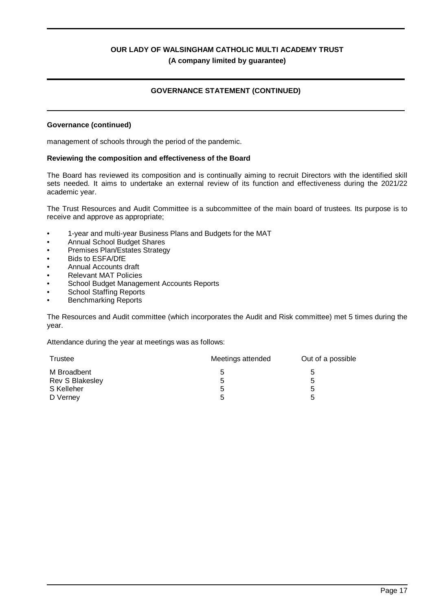## **GOVERNANCE STATEMENT (CONTINUED)**

#### **Governance (continued)**

management of schools through the period of the pandemic.

#### **Reviewing the composition and effectiveness of the Board**

The Board has reviewed its composition and is continually aiming to recruit Directors with the identified skill sets needed. It aims to undertake an external review of its function and effectiveness during the 2021/22 academic year.

The Trust Resources and Audit Committee is a subcommittee of the main board of trustees. Its purpose is to receive and approve as appropriate;

- 1-year and multi-year Business Plans and Budgets for the MAT
- Annual School Budget Shares
- Premises Plan/Estates Strategy
- Bids to ESFA/DfE
- Annual Accounts draft
- Relevant MAT Policies
- School Budget Management Accounts Reports
- School Staffing Reports
- Benchmarking Reports

The Resources and Audit committee (which incorporates the Audit and Risk committee) met 5 times during the year.

Attendance during the year at meetings was as follows:

| Trustee         | Meetings attended | Out of a possible |
|-----------------|-------------------|-------------------|
| M Broadbent     | 5                 | b                 |
| Rev S Blakesley | 5                 | b                 |
| S Kelleher      | 5                 | b                 |
| D Verney        | 5                 | b                 |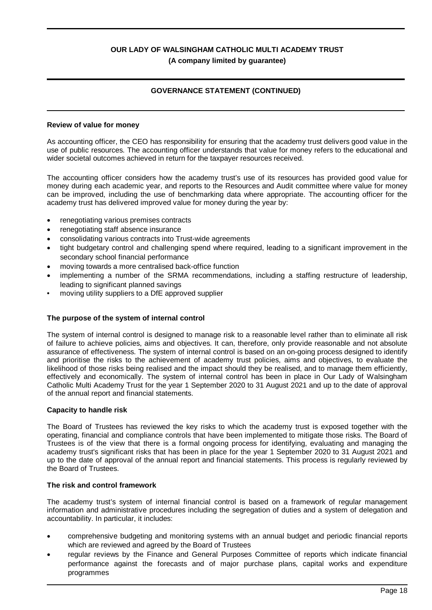## **GOVERNANCE STATEMENT (CONTINUED)**

#### **Review of value for money**

As accounting officer, the CEO has responsibility for ensuring that the academy trust delivers good value in the use of public resources. The accounting officer understands that value for money refers to the educational and wider societal outcomes achieved in return for the taxpayer resources received.

The accounting officer considers how the academy trust's use of its resources has provided good value for money during each academic year, and reports to the Resources and Audit committee where value for money can be improved, including the use of benchmarking data where appropriate. The accounting officer for the academy trust has delivered improved value for money during the year by:

- renegotiating various premises contracts
- · renegotiating staff absence insurance
- consolidating various contracts into Trust-wide agreements
- · tight budgetary control and challenging spend where required, leading to a significant improvement in the secondary school financial performance
- · moving towards a more centralised back-office function
- implementing a number of the SRMA recommendations, including a staffing restructure of leadership, leading to significant planned savings
- moving utility suppliers to a DfE approved supplier

#### **The purpose of the system of internal control**

The system of internal control is designed to manage risk to a reasonable level rather than to eliminate all risk of failure to achieve policies, aims and objectives. It can, therefore, only provide reasonable and not absolute assurance of effectiveness. The system of internal control is based on an on-going process designed to identify and prioritise the risks to the achievement of academy trust policies, aims and objectives, to evaluate the likelihood of those risks being realised and the impact should they be realised, and to manage them efficiently, effectively and economically. The system of internal control has been in place in Our Lady of Walsingham Catholic Multi Academy Trust for the year 1 September 2020 to 31 August 2021 and up to the date of approval of the annual report and financial statements.

#### **Capacity to handle risk**

The Board of Trustees has reviewed the key risks to which the academy trust is exposed together with the operating, financial and compliance controls that have been implemented to mitigate those risks. The Board of Trustees is of the view that there is a formal ongoing process for identifying, evaluating and managing the academy trust's significant risks that has been in place for the year 1 September 2020 to 31 August 2021 and up to the date of approval of the annual report and financial statements. This process is regularly reviewed by the Board of Trustees.

#### **The risk and control framework**

The academy trust's system of internal financial control is based on a framework of regular management information and administrative procedures including the segregation of duties and a system of delegation and accountability. In particular, it includes:

- · comprehensive budgeting and monitoring systems with an annual budget and periodic financial reports which are reviewed and agreed by the Board of Trustees
- · regular reviews by the Finance and General Purposes Committee of reports which indicate financial performance against the forecasts and of major purchase plans, capital works and expenditure programmes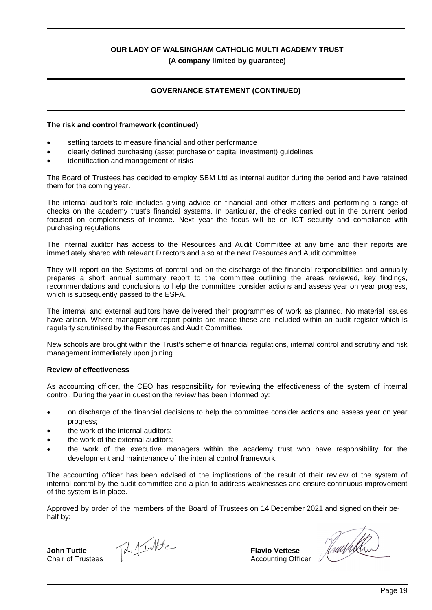## **GOVERNANCE STATEMENT (CONTINUED)**

#### **The risk and control framework (continued)**

- setting targets to measure financial and other performance
- · clearly defined purchasing (asset purchase or capital investment) guidelines
- identification and management of risks

The Board of Trustees has decided to employ SBM Ltd as internal auditor during the period and have retained them for the coming year.

The internal auditor's role includes giving advice on financial and other matters and performing a range of checks on the academy trust's financial systems. In particular, the checks carried out in the current period focused on completeness of income. Next year the focus will be on ICT security and compliance with purchasing regulations.

The internal auditor has access to the Resources and Audit Committee at any time and their reports are immediately shared with relevant Directors and also at the next Resources and Audit committee.

They will report on the Systems of control and on the discharge of the financial responsibilities and annually prepares a short annual summary report to the committee outlining the areas reviewed, key findings, recommendations and conclusions to help the committee consider actions and assess year on year progress, which is subsequently passed to the ESFA.

The internal and external auditors have delivered their programmes of work as planned. No material issues have arisen. Where management report points are made these are included within an audit register which is regularly scrutinised by the Resources and Audit Committee.

New schools are brought within the Trust's scheme of financial regulations, internal control and scrutiny and risk management immediately upon joining.

#### **Review of effectiveness**

As accounting officer, the CEO has responsibility for reviewing the effectiveness of the system of internal control. During the year in question the review has been informed by:

- on discharge of the financial decisions to help the committee consider actions and assess vear on vear progress;
- the work of the internal auditors:
- the work of the external auditors;
- · the work of the executive managers within the academy trust who have responsibility for the development and maintenance of the internal control framework.

The accounting officer has been advised of the implications of the result of their review of the system of internal control by the audit committee and a plan to address weaknesses and ensure continuous improvement of the system is in place.

Approved by order of the members of the Board of Trustees on 14 December 2021 and signed on their behalf by:

**John Tuttle** Chair of Trustees

Toh 1 Intite

**Flavio Vettese** Accounting Officer

Juurkh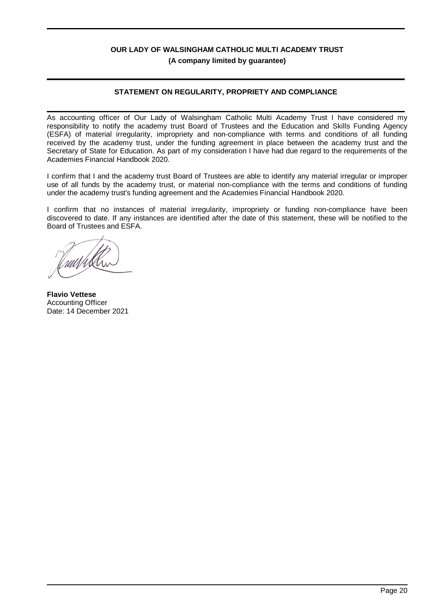## **STATEMENT ON REGULARITY, PROPRIETY AND COMPLIANCE**

As accounting officer of Our Lady of Walsingham Catholic Multi Academy Trust I have considered my responsibility to notify the academy trust Board of Trustees and the Education and Skills Funding Agency (ESFA) of material irregularity, impropriety and non-compliance with terms and conditions of all funding received by the academy trust, under the funding agreement in place between the academy trust and the Secretary of State for Education. As part of my consideration I have had due regard to the requirements of the Academies Financial Handbook 2020.

I confirm that I and the academy trust Board of Trustees are able to identify any material irregular or improper use of all funds by the academy trust, or material non-compliance with the terms and conditions of funding under the academy trust's funding agreement and the Academies Financial Handbook 2020.

I confirm that no instances of material irregularity, impropriety or funding non-compliance have been discovered to date. If any instances are identified after the date of this statement, these will be notified to the Board of Trustees and ESFA.

uut/illi

**Flavio Vettese** Accounting Officer Date: 14 December 2021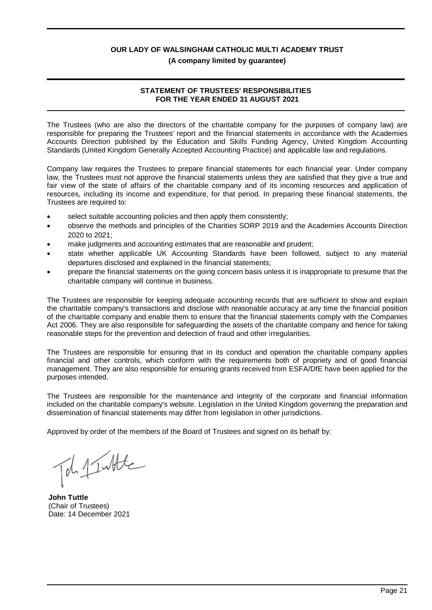### **(A company limited by guarantee)**

## **STATEMENT OF TRUSTEES' RESPONSIBILITIES FOR THE YEAR ENDED 31 AUGUST 2021**

The Trustees (who are also the directors of the charitable company for the purposes of company law) are responsible for preparing the Trustees' report and the financial statements in accordance with the Academies Accounts Direction published by the Education and Skills Funding Agency, United Kingdom Accounting Standards (United Kingdom Generally Accepted Accounting Practice) and applicable law and regulations.

Company law requires the Trustees to prepare financial statements for each financial year. Under company law, the Trustees must not approve the financial statements unless they are satisfied that they give a true and fair view of the state of affairs of the charitable company and of its incoming resources and application of resources, including its income and expenditure, for that period. In preparing these financial statements, the Trustees are required to:

- select suitable accounting policies and then apply them consistently;
- · observe the methods and principles of the Charities SORP 2019 and the Academies Accounts Direction 2020 to 2021;
- make judgments and accounting estimates that are reasonable and prudent;
- state whether applicable UK Accounting Standards have been followed, subject to any material departures disclosed and explained in the financial statements;
- · prepare the financial statements on the going concern basis unless it is inappropriate to presume that the charitable company will continue in business.

The Trustees are responsible for keeping adequate accounting records that are sufficient to show and explain the charitable company's transactions and disclose with reasonable accuracy at any time the financial position of the charitable company and enable them to ensure that the financial statements comply with the Companies Act 2006. They are also responsible for safeguarding the assets of the charitable company and hence for taking reasonable steps for the prevention and detection of fraud and other irregularities.

The Trustees are responsible for ensuring that in its conduct and operation the charitable company applies financial and other controls, which conform with the requirements both of propriety and of good financial management. They are also responsible for ensuring grants received from ESFA/DfE have been applied for the purposes intended.

The Trustees are responsible for the maintenance and integrity of the corporate and financial information included on the charitable company's website. Legislation in the United Kingdom governing the preparation and dissemination of financial statements may differ from legislation in other jurisdictions.

Approved by order of the members of the Board of Trustees and signed on its behalf by:

de 1 Intte

**John Tuttle** (Chair of Trustees) Date: 14 December 2021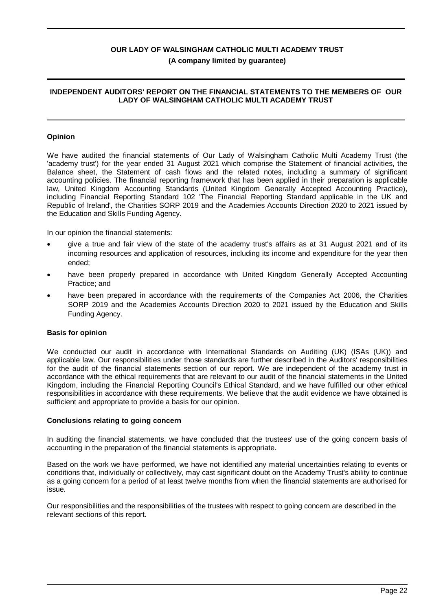#### **INDEPENDENT AUDITORS' REPORT ON THE FINANCIAL STATEMENTS TO THE MEMBERS OF OUR LADY OF WALSINGHAM CATHOLIC MULTI ACADEMY TRUST**

#### **Opinion**

We have audited the financial statements of Our Lady of Walsingham Catholic Multi Academy Trust (the 'academy trust') for the year ended 31 August 2021 which comprise the Statement of financial activities, the Balance sheet, the Statement of cash flows and the related notes, including a summary of significant accounting policies. The financial reporting framework that has been applied in their preparation is applicable law, United Kingdom Accounting Standards (United Kingdom Generally Accepted Accounting Practice), including Financial Reporting Standard 102 'The Financial Reporting Standard applicable in the UK and Republic of Ireland', the Charities SORP 2019 and the Academies Accounts Direction 2020 to 2021 issued by the Education and Skills Funding Agency.

In our opinion the financial statements:

- · give a true and fair view of the state of the academy trust's affairs as at 31 August 2021 and of its incoming resources and application of resources, including its income and expenditure for the year then ended;
- have been properly prepared in accordance with United Kingdom Generally Accepted Accounting Practice; and
- have been prepared in accordance with the requirements of the Companies Act 2006, the Charities SORP 2019 and the Academies Accounts Direction 2020 to 2021 issued by the Education and Skills Funding Agency.

#### **Basis for opinion**

We conducted our audit in accordance with International Standards on Auditing (UK) (ISAs (UK)) and applicable law. Our responsibilities under those standards are further described in the Auditors' responsibilities for the audit of the financial statements section of our report. We are independent of the academy trust in accordance with the ethical requirements that are relevant to our audit of the financial statements in the United Kingdom, including the Financial Reporting Council's Ethical Standard, and we have fulfilled our other ethical responsibilities in accordance with these requirements. We believe that the audit evidence we have obtained is sufficient and appropriate to provide a basis for our opinion.

#### **Conclusions relating to going concern**

In auditing the financial statements, we have concluded that the trustees' use of the going concern basis of accounting in the preparation of the financial statements is appropriate.

Based on the work we have performed, we have not identified any material uncertainties relating to events or conditions that, individually or collectively, may cast significant doubt on the Academy Trust's ability to continue as a going concern for a period of at least twelve months from when the financial statements are authorised for issue.

Our responsibilities and the responsibilities of the trustees with respect to going concern are described in the relevant sections of this report.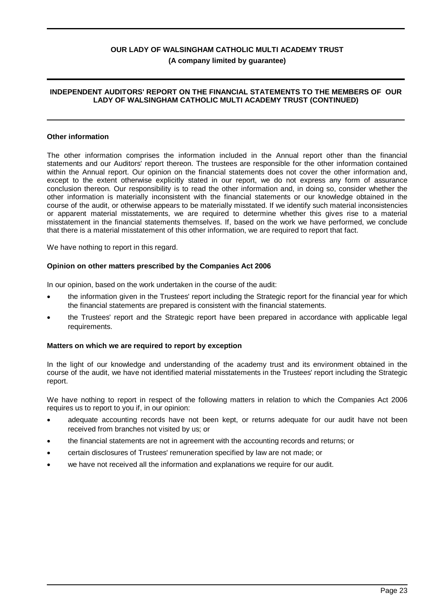### **INDEPENDENT AUDITORS' REPORT ON THE FINANCIAL STATEMENTS TO THE MEMBERS OF OUR LADY OF WALSINGHAM CATHOLIC MULTI ACADEMY TRUST (CONTINUED)**

#### **Other information**

The other information comprises the information included in the Annual report other than the financial statements and our Auditors' report thereon. The trustees are responsible for the other information contained within the Annual report. Our opinion on the financial statements does not cover the other information and, except to the extent otherwise explicitly stated in our report, we do not express any form of assurance conclusion thereon. Our responsibility is to read the other information and, in doing so, consider whether the other information is materially inconsistent with the financial statements or our knowledge obtained in the course of the audit, or otherwise appears to be materially misstated. If we identify such material inconsistencies or apparent material misstatements, we are required to determine whether this gives rise to a material misstatement in the financial statements themselves. If, based on the work we have performed, we conclude that there is a material misstatement of this other information, we are required to report that fact.

We have nothing to report in this regard.

#### **Opinion on other matters prescribed by the Companies Act 2006**

In our opinion, based on the work undertaken in the course of the audit:

- the information given in the Trustees' report including the Strategic report for the financial year for which the financial statements are prepared is consistent with the financial statements.
- · the Trustees' report and the Strategic report have been prepared in accordance with applicable legal requirements.

#### **Matters on which we are required to report by exception**

In the light of our knowledge and understanding of the academy trust and its environment obtained in the course of the audit, we have not identified material misstatements in the Trustees' report including the Strategic report.

We have nothing to report in respect of the following matters in relation to which the Companies Act 2006 requires us to report to you if, in our opinion:

- adequate accounting records have not been kept, or returns adequate for our audit have not been received from branches not visited by us; or
- · the financial statements are not in agreement with the accounting records and returns; or
- · certain disclosures of Trustees' remuneration specified by law are not made; or
- we have not received all the information and explanations we require for our audit.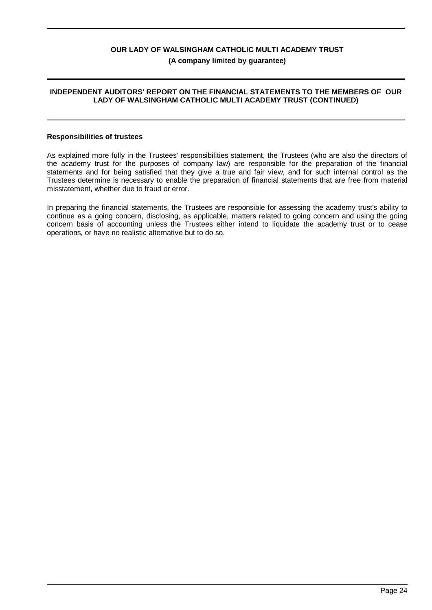#### **INDEPENDENT AUDITORS' REPORT ON THE FINANCIAL STATEMENTS TO THE MEMBERS OF OUR LADY OF WALSINGHAM CATHOLIC MULTI ACADEMY TRUST (CONTINUED)**

#### **Responsibilities of trustees**

As explained more fully in the Trustees' responsibilities statement, the Trustees (who are also the directors of the academy trust for the purposes of company law) are responsible for the preparation of the financial statements and for being satisfied that they give a true and fair view, and for such internal control as the Trustees determine is necessary to enable the preparation of financial statements that are free from material misstatement, whether due to fraud or error.

In preparing the financial statements, the Trustees are responsible for assessing the academy trust's ability to continue as a going concern, disclosing, as applicable, matters related to going concern and using the going concern basis of accounting unless the Trustees either intend to liquidate the academy trust or to cease operations, or have no realistic alternative but to do so.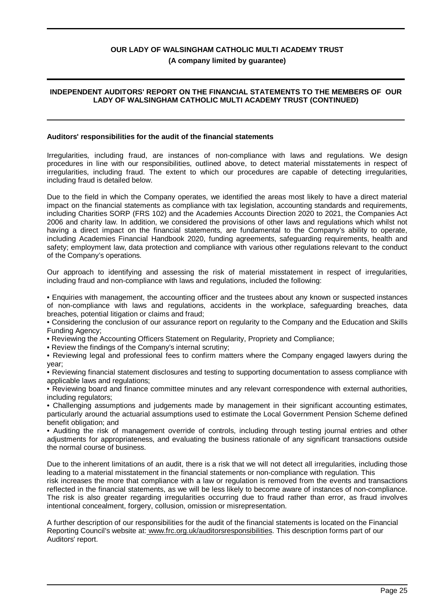## **(A company limited by guarantee)**

## **INDEPENDENT AUDITORS' REPORT ON THE FINANCIAL STATEMENTS TO THE MEMBERS OF OUR LADY OF WALSINGHAM CATHOLIC MULTI ACADEMY TRUST (CONTINUED)**

### **Auditors' responsibilities for the audit of the financial statements**

Irregularities, including fraud, are instances of non-compliance with laws and regulations. We design procedures in line with our responsibilities, outlined above, to detect material misstatements in respect of irregularities, including fraud. The extent to which our procedures are capable of detecting irregularities, including fraud is detailed below.

Due to the field in which the Company operates, we identified the areas most likely to have a direct material impact on the financial statements as compliance with tax legislation, accounting standards and requirements, including Charities SORP (FRS 102) and the Academies Accounts Direction 2020 to 2021, the Companies Act 2006 and charity law. In addition, we considered the provisions of other laws and regulations which whilst not having a direct impact on the financial statements, are fundamental to the Company's ability to operate, including Academies Financial Handbook 2020, funding agreements, safeguarding requirements, health and safety; employment law, data protection and compliance with various other regulations relevant to the conduct of the Company's operations.

Our approach to identifying and assessing the risk of material misstatement in respect of irregularities, including fraud and non-compliance with laws and regulations, included the following:

• Enquiries with management, the accounting officer and the trustees about any known or suspected instances of non-compliance with laws and regulations, accidents in the workplace, safeguarding breaches, data breaches, potential litigation or claims and fraud;

• Considering the conclusion of our assurance report on regularity to the Company and the Education and Skills Funding Agency;

• Reviewing the Accounting Officers Statement on Regularity, Propriety and Compliance;

• Review the findings of the Company's internal scrutiny;

• Reviewing legal and professional fees to confirm matters where the Company engaged lawyers during the year;

• Reviewing financial statement disclosures and testing to supporting documentation to assess compliance with applicable laws and regulations;

• Reviewing board and finance committee minutes and any relevant correspondence with external authorities, including regulators;

• Challenging assumptions and judgements made by management in their significant accounting estimates, particularly around the actuarial assumptions used to estimate the Local Government Pension Scheme defined benefit obligation; and

• Auditing the risk of management override of controls, including through testing journal entries and other adjustments for appropriateness, and evaluating the business rationale of any significant transactions outside the normal course of business.

Due to the inherent limitations of an audit, there is a risk that we will not detect all irregularities, including those leading to a material misstatement in the financial statements or non-compliance with regulation. This risk increases the more that compliance with a law or regulation is removed from the events and transactions reflected in the financial statements, as we will be less likely to become aware of instances of non-compliance.

The risk is also greater regarding irregularities occurring due to fraud rather than error, as fraud involves intentional concealment, forgery, collusion, omission or misrepresentation.

A further description of our responsibilities for the audit of the financial statements is located on the Financial Reporting Council's website at: www.frc.org.uk/auditorsresponsibilities. This description forms part of our Auditors' report.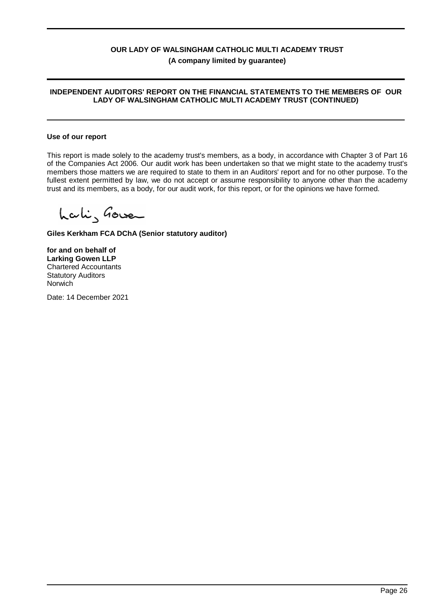### **INDEPENDENT AUDITORS' REPORT ON THE FINANCIAL STATEMENTS TO THE MEMBERS OF OUR LADY OF WALSINGHAM CATHOLIC MULTI ACADEMY TRUST (CONTINUED)**

#### **Use of our report**

This report is made solely to the academy trust's members, as a body, in accordance with Chapter 3 of Part 16 of the Companies Act 2006. Our audit work has been undertaken so that we might state to the academy trust's members those matters we are required to state to them in an Auditors' report and for no other purpose. To the fullest extent permitted by law, we do not accept or assume responsibility to anyone other than the academy trust and its members, as a body, for our audit work, for this report, or for the opinions we have formed.

Laki, Gover

**Giles Kerkham FCA DChA (Senior statutory auditor)**

**for and on behalf of Larking Gowen LLP** Chartered Accountants Statutory Auditors Norwich

Date: 14 December 2021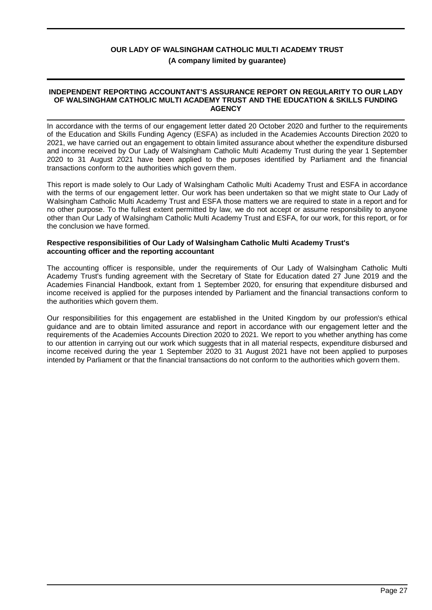#### **INDEPENDENT REPORTING ACCOUNTANT'S ASSURANCE REPORT ON REGULARITY TO OUR LADY OF WALSINGHAM CATHOLIC MULTI ACADEMY TRUST AND THE EDUCATION & SKILLS FUNDING AGENCY**

In accordance with the terms of our engagement letter dated 20 October 2020 and further to the requirements of the Education and Skills Funding Agency (ESFA) as included in the Academies Accounts Direction 2020 to 2021, we have carried out an engagement to obtain limited assurance about whether the expenditure disbursed and income received by Our Lady of Walsingham Catholic Multi Academy Trust during the year 1 September 2020 to 31 August 2021 have been applied to the purposes identified by Parliament and the financial transactions conform to the authorities which govern them.

This report is made solely to Our Lady of Walsingham Catholic Multi Academy Trust and ESFA in accordance with the terms of our engagement letter. Our work has been undertaken so that we might state to Our Lady of Walsingham Catholic Multi Academy Trust and ESFA those matters we are required to state in a report and for no other purpose. To the fullest extent permitted by law, we do not accept or assume responsibility to anyone other than Our Lady of Walsingham Catholic Multi Academy Trust and ESFA, for our work, for this report, or for the conclusion we have formed.

#### **Respective responsibilities of Our Lady of Walsingham Catholic Multi Academy Trust's accounting officer and the reporting accountant**

The accounting officer is responsible, under the requirements of Our Lady of Walsingham Catholic Multi Academy Trust's funding agreement with the Secretary of State for Education dated 27 June 2019 and the Academies Financial Handbook, extant from 1 September 2020, for ensuring that expenditure disbursed and income received is applied for the purposes intended by Parliament and the financial transactions conform to the authorities which govern them.

Our responsibilities for this engagement are established in the United Kingdom by our profession's ethical guidance and are to obtain limited assurance and report in accordance with our engagement letter and the requirements of the Academies Accounts Direction 2020 to 2021. We report to you whether anything has come to our attention in carrying out our work which suggests that in all material respects, expenditure disbursed and income received during the year 1 September 2020 to 31 August 2021 have not been applied to purposes intended by Parliament or that the financial transactions do not conform to the authorities which govern them.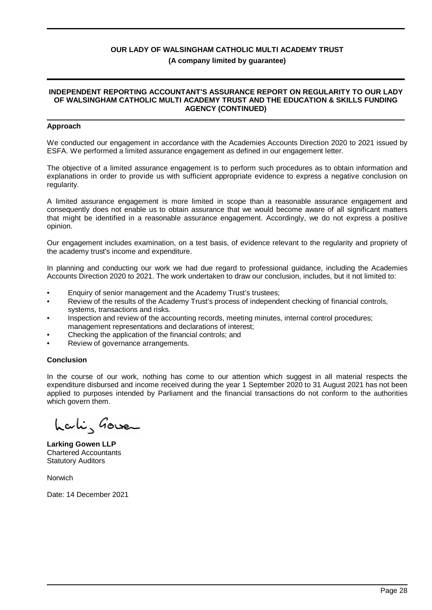#### **INDEPENDENT REPORTING ACCOUNTANT'S ASSURANCE REPORT ON REGULARITY TO OUR LADY OF WALSINGHAM CATHOLIC MULTI ACADEMY TRUST AND THE EDUCATION & SKILLS FUNDING AGENCY (CONTINUED)**

#### **Approach**

We conducted our engagement in accordance with the Academies Accounts Direction 2020 to 2021 issued by ESFA. We performed a limited assurance engagement as defined in our engagement letter.

The objective of a limited assurance engagement is to perform such procedures as to obtain information and explanations in order to provide us with sufficient appropriate evidence to express a negative conclusion on regularity.

A limited assurance engagement is more limited in scope than a reasonable assurance engagement and consequently does not enable us to obtain assurance that we would become aware of all significant matters that might be identified in a reasonable assurance engagement. Accordingly, we do not express a positive opinion.

Our engagement includes examination, on a test basis, of evidence relevant to the regularity and propriety of the academy trust's income and expenditure.

In planning and conducting our work we had due regard to professional guidance, including the Academies Accounts Direction 2020 to 2021. The work undertaken to draw our conclusion, includes, but it not limited to:

- Enquiry of senior management and the Academy Trust's trustees;
- Review of the results of the Academy Trust's process of independent checking of financial controls, systems, transactions and risks.
- Inspection and review of the accounting records, meeting minutes, internal control procedures; management representations and declarations of interest;
- Checking the application of the financial controls; and
- Review of governance arrangements.

#### **Conclusion**

In the course of our work, nothing has come to our attention which suggest in all material respects the expenditure disbursed and income received during the year 1 September 2020 to 31 August 2021 has not been applied to purposes intended by Parliament and the financial transactions do not conform to the authorities which govern them.

Lali, Gove

**Larking Gowen LLP** Chartered Accountants Statutory Auditors

Norwich

Date: 14 December 2021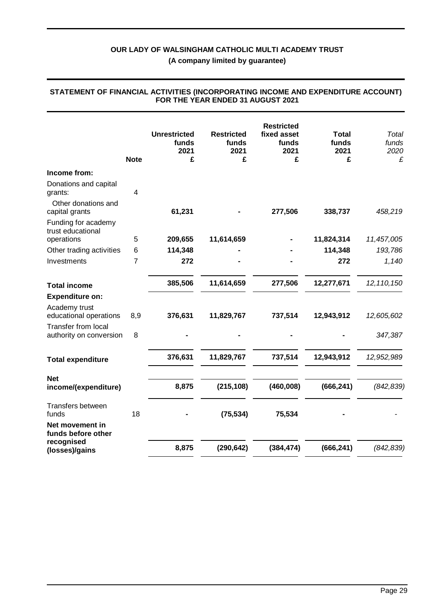**(A company limited by guarantee)**

|                                                       | <b>Note</b> | <b>Unrestricted</b><br>funds<br>2021<br>£ | <b>Restricted</b><br>funds<br>2021<br>£ | <b>Restricted</b><br>fixed asset<br>funds<br>2021<br>£ | <b>Total</b><br>funds<br>2021<br>£ | Total<br>funds<br>2020<br>£ |
|-------------------------------------------------------|-------------|-------------------------------------------|-----------------------------------------|--------------------------------------------------------|------------------------------------|-----------------------------|
| Income from:                                          |             |                                           |                                         |                                                        |                                    |                             |
| Donations and capital<br>grants:                      | 4           |                                           |                                         |                                                        |                                    |                             |
| Other donations and<br>capital grants                 |             | 61,231                                    |                                         | 277,506                                                | 338,737                            | 458,219                     |
| Funding for academy<br>trust educational              |             |                                           |                                         |                                                        |                                    |                             |
| operations                                            | 5           | 209,655                                   | 11,614,659                              |                                                        | 11,824,314                         | 11,457,005                  |
| Other trading activities                              | 6           | 114,348                                   |                                         |                                                        | 114,348                            | 193,786                     |
| Investments                                           | 7           | 272                                       |                                         |                                                        | 272                                | 1,140                       |
| <b>Total income</b>                                   |             | 385,506                                   | 11,614,659                              | 277,506                                                | 12,277,671                         | 12, 110, 150                |
| <b>Expenditure on:</b>                                |             |                                           |                                         |                                                        |                                    |                             |
| Academy trust<br>educational operations               | 8,9         | 376,631                                   | 11,829,767                              | 737,514                                                | 12,943,912                         | 12,605,602                  |
| <b>Transfer from local</b><br>authority on conversion | 8           |                                           |                                         |                                                        |                                    | 347,387                     |
| <b>Total expenditure</b>                              |             | 376,631                                   | 11,829,767                              | 737,514                                                | 12,943,912                         | 12,952,989                  |
| <b>Net</b><br>income/(expenditure)                    |             | 8,875                                     | (215, 108)                              | (460,008)                                              | (666, 241)                         | (842, 839)                  |
| Transfers between<br>funds                            | 18          |                                           | (75, 534)                               | 75,534                                                 |                                    |                             |
| Net movement in<br>funds before other                 |             |                                           |                                         |                                                        |                                    |                             |
| recognised<br>(losses)/gains                          |             | 8,875                                     | (290, 642)                              | (384, 474)                                             | (666, 241)                         | (842, 839)                  |

#### **STATEMENT OF FINANCIAL ACTIVITIES (INCORPORATING INCOME AND EXPENDITURE ACCOUNT) FOR THE YEAR ENDED 31 AUGUST 2021**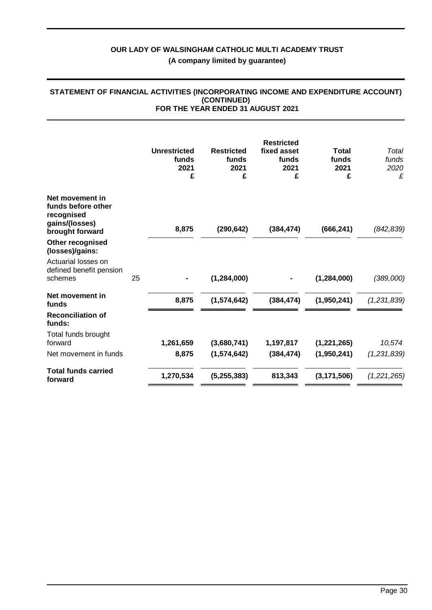|                                                                                          |    | <b>Unrestricted</b><br>funds<br>2021<br>£ | <b>Restricted</b><br>funds<br>2021<br>£ | <b>Restricted</b><br>fixed asset<br>funds<br>2021<br>£ | <b>Total</b><br>funds<br>2021<br>£ | Total<br>funds<br>2020<br>£ |
|------------------------------------------------------------------------------------------|----|-------------------------------------------|-----------------------------------------|--------------------------------------------------------|------------------------------------|-----------------------------|
| Net movement in<br>funds before other<br>recognised<br>gains/(losses)<br>brought forward |    | 8,875                                     | (290, 642)                              | (384, 474)                                             | (666, 241)                         | (842, 839)                  |
| Other recognised<br>(losses)/gains:                                                      |    |                                           |                                         |                                                        |                                    |                             |
| Actuarial losses on<br>defined benefit pension<br>schemes                                | 25 |                                           | (1, 284, 000)                           |                                                        | (1, 284, 000)                      | (389,000)                   |
| Net movement in<br>funds                                                                 |    | 8,875                                     | (1,574,642)                             | (384, 474)                                             | (1,950,241)                        | (1,231,839)                 |
| <b>Reconciliation of</b><br>funds:                                                       |    |                                           |                                         |                                                        |                                    |                             |
| Total funds brought<br>forward                                                           |    | 1,261,659                                 | (3,680,741)                             | 1,197,817                                              | (1,221,265)                        | 10,574                      |
| Net movement in funds                                                                    |    | 8,875                                     | (1, 574, 642)                           | (384, 474)                                             | (1,950,241)                        | (1,231,839)                 |
| <b>Total funds carried</b><br>forward                                                    |    | 1,270,534                                 | (5, 255, 383)                           | 813,343                                                | (3, 171, 506)                      | (1,221,265)                 |

#### **STATEMENT OF FINANCIAL ACTIVITIES (INCORPORATING INCOME AND EXPENDITURE ACCOUNT) (CONTINUED) FOR THE YEAR ENDED 31 AUGUST 2021**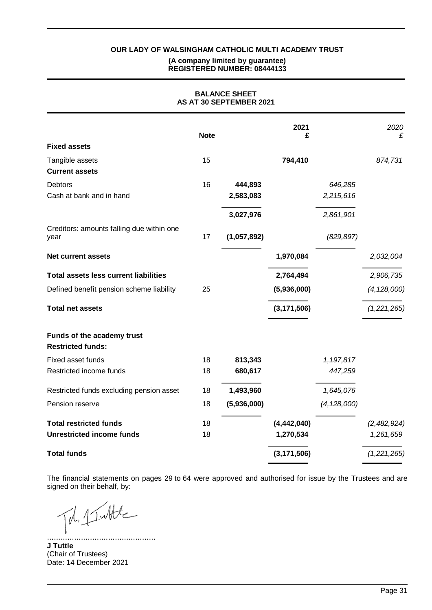## **REGISTERED NUMBER: 08444133**

**BALANCE SHEET**

|                                                        |             | AS AT 30 SEPTEMBER 2021 |               |               |               |
|--------------------------------------------------------|-------------|-------------------------|---------------|---------------|---------------|
|                                                        | <b>Note</b> |                         | 2021<br>£     |               | 2020<br>£     |
| <b>Fixed assets</b>                                    |             |                         |               |               |               |
| Tangible assets<br><b>Current assets</b>               | 15          |                         | 794,410       |               | 874,731       |
| <b>Debtors</b>                                         | 16          | 444,893                 |               | 646,285       |               |
| Cash at bank and in hand                               |             | 2,583,083               |               | 2,215,616     |               |
|                                                        |             | 3,027,976               |               | 2,861,901     |               |
| Creditors: amounts falling due within one<br>year      | 17          | (1,057,892)             |               | (829, 897)    |               |
| <b>Net current assets</b>                              |             |                         | 1,970,084     |               | 2,032,004     |
| <b>Total assets less current liabilities</b>           |             |                         | 2,764,494     |               | 2,906,735     |
| Defined benefit pension scheme liability               | 25          |                         | (5,936,000)   |               | (4, 128, 000) |
| <b>Total net assets</b>                                |             |                         | (3, 171, 506) |               | (1,221,265)   |
| Funds of the academy trust<br><b>Restricted funds:</b> |             |                         |               |               |               |
| Fixed asset funds                                      | 18          | 813,343                 |               | 1,197,817     |               |
| Restricted income funds                                | 18          | 680,617                 |               | 447,259       |               |
| Restricted funds excluding pension asset               | 18          | 1,493,960               |               | 1,645,076     |               |
| Pension reserve                                        | 18          | (5,936,000)             |               | (4, 128, 000) |               |
| <b>Total restricted funds</b>                          | 18          |                         | (4, 442, 040) |               | (2,482,924)   |
| <b>Unrestricted income funds</b>                       | 18          |                         | 1,270,534     |               | 1,261,659     |
| <b>Total funds</b>                                     |             |                         | (3, 171, 506) |               | (1,221,265)   |

The financial statements on pages 29 to 64 were approved and authorised for issue by the Trustees and are signed on their behalf, by:

Tol. 1 Intte

................................................ **J Tuttle** (Chair of Trustees) Date: 14 December 2021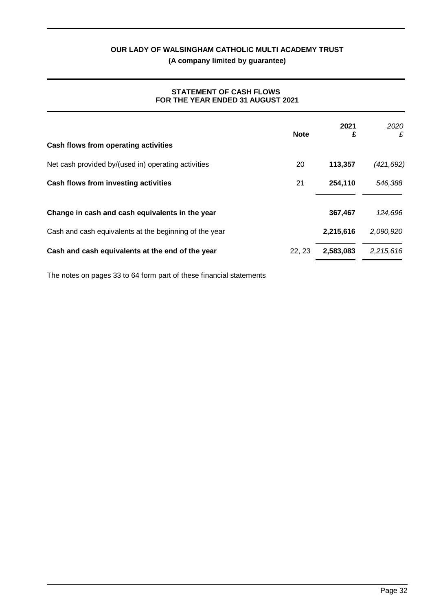## **STATEMENT OF CASH FLOWS FOR THE YEAR ENDED 31 AUGUST 2021**

| Cash flows from operating activities                   | <b>Note</b> | 2021<br>£ | 2020<br>£  |
|--------------------------------------------------------|-------------|-----------|------------|
| Net cash provided by/(used in) operating activities    | 20          | 113,357   | (421, 692) |
| Cash flows from investing activities                   | 21          | 254,110   | 546,388    |
| Change in cash and cash equivalents in the year        |             | 367.467   | 124,696    |
| Cash and cash equivalents at the beginning of the year |             | 2,215,616 | 2,090,920  |
| Cash and cash equivalents at the end of the year       | 22, 23      | 2,583,083 | 2,215,616  |

The notes on pages 33 to 64 form part of these financial statements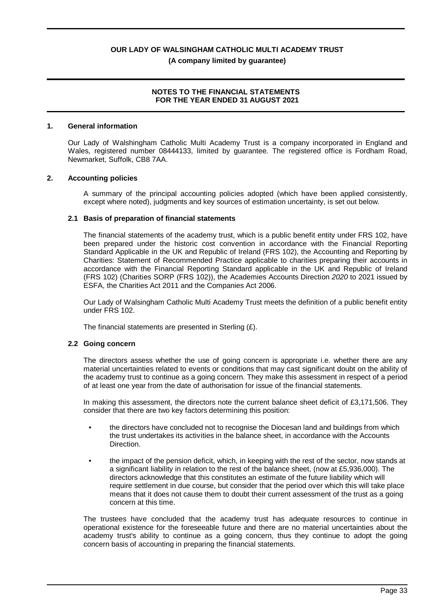#### **NOTES TO THE FINANCIAL STATEMENTS FOR THE YEAR ENDED 31 AUGUST 2021**

#### **1. General information**

Our Lady of Walshingham Catholic Multi Academy Trust is a company incorporated in England and Wales, registered number 08444133, limited by guarantee. The registered office is Fordham Road, Newmarket, Suffolk, CB8 7AA.

#### **2. Accounting policies**

A summary of the principal accounting policies adopted (which have been applied consistently, except where noted), judgments and key sources of estimation uncertainty, is set out below.

#### **2.1 Basis of preparation of financial statements**

The financial statements of the academy trust, which is a public benefit entity under FRS 102, have been prepared under the historic cost convention in accordance with the Financial Reporting Standard Applicable in the UK and Republic of Ireland (FRS 102), the Accounting and Reporting by Charities: Statement of Recommended Practice applicable to charities preparing their accounts in accordance with the Financial Reporting Standard applicable in the UK and Republic of Ireland (FRS 102) (Charities SORP (FRS 102)), the Academies Accounts Direction *2020* to 2021 issued by ESFA, the Charities Act 2011 and the Companies Act 2006.

Our Lady of Walsingham Catholic Multi Academy Trust meets the definition of a public benefit entity under FRS 102.

The financial statements are presented in Sterling (£).

#### **2.2 Going concern**

The directors assess whether the use of going concern is appropriate i.e. whether there are any material uncertainties related to events or conditions that may cast significant doubt on the ability of the academy trust to continue as a going concern. They make this assessment in respect of a period of at least one year from the date of authorisation for issue of the financial statements.

In making this assessment, the directors note the current balance sheet deficit of £3,171,506. They consider that there are two key factors determining this position:

- the directors have concluded not to recognise the Diocesan land and buildings from which the trust undertakes its activities in the balance sheet, in accordance with the Accounts **Direction**
- the impact of the pension deficit, which, in keeping with the rest of the sector, now stands at a significant liability in relation to the rest of the balance sheet, (now at £5,936,000). The directors acknowledge that this constitutes an estimate of the future liability which will require settlement in due course, but consider that the period over which this will take place means that it does not cause them to doubt their current assessment of the trust as a going concern at this time.

The trustees have concluded that the academy trust has adequate resources to continue in operational existence for the foreseeable future and there are no material uncertainties about the academy trust's ability to continue as a going concern, thus they continue to adopt the going concern basis of accounting in preparing the financial statements.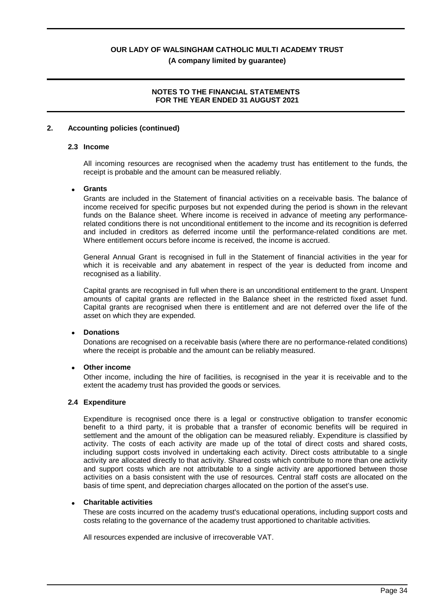### **NOTES TO THE FINANCIAL STATEMENTS FOR THE YEAR ENDED 31 AUGUST 2021**

#### **2. Accounting policies (continued)**

#### **2.3 Income**

All incoming resources are recognised when the academy trust has entitlement to the funds, the receipt is probable and the amount can be measured reliably.

#### · **Grants**

Grants are included in the Statement of financial activities on a receivable basis. The balance of income received for specific purposes but not expended during the period is shown in the relevant funds on the Balance sheet. Where income is received in advance of meeting any performancerelated conditions there is not unconditional entitlement to the income and its recognition is deferred and included in creditors as deferred income until the performance-related conditions are met. Where entitlement occurs before income is received, the income is accrued.

General Annual Grant is recognised in full in the Statement of financial activities in the year for which it is receivable and any abatement in respect of the year is deducted from income and recognised as a liability.

Capital grants are recognised in full when there is an unconditional entitlement to the grant. Unspent amounts of capital grants are reflected in the Balance sheet in the restricted fixed asset fund. Capital grants are recognised when there is entitlement and are not deferred over the life of the asset on which they are expended.

#### · **Donations**

Donations are recognised on a receivable basis (where there are no performance-related conditions) where the receipt is probable and the amount can be reliably measured.

#### **Other income**

Other income, including the hire of facilities, is recognised in the year it is receivable and to the extent the academy trust has provided the goods or services.

#### **2.4 Expenditure**

Expenditure is recognised once there is a legal or constructive obligation to transfer economic benefit to a third party, it is probable that a transfer of economic benefits will be required in settlement and the amount of the obligation can be measured reliably. Expenditure is classified by activity. The costs of each activity are made up of the total of direct costs and shared costs, including support costs involved in undertaking each activity. Direct costs attributable to a single activity are allocated directly to that activity. Shared costs which contribute to more than one activity and support costs which are not attributable to a single activity are apportioned between those activities on a basis consistent with the use of resources. Central staff costs are allocated on the basis of time spent, and depreciation charges allocated on the portion of the asset's use.

#### · **Charitable activities**

These are costs incurred on the academy trust's educational operations, including support costs and costs relating to the governance of the academy trust apportioned to charitable activities.

All resources expended are inclusive of irrecoverable VAT.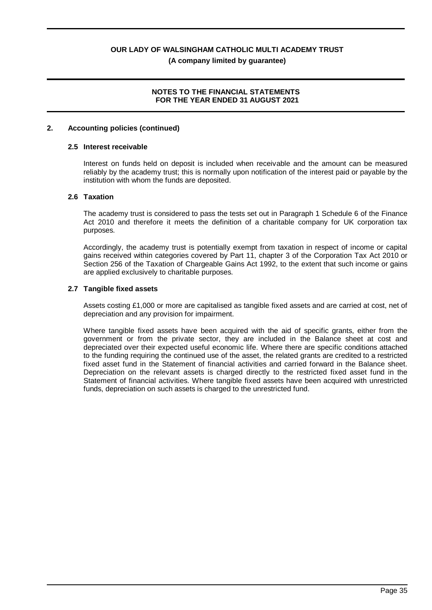## **NOTES TO THE FINANCIAL STATEMENTS FOR THE YEAR ENDED 31 AUGUST 2021**

#### **2. Accounting policies (continued)**

#### **2.5 Interest receivable**

Interest on funds held on deposit is included when receivable and the amount can be measured reliably by the academy trust; this is normally upon notification of the interest paid or payable by the institution with whom the funds are deposited.

#### **2.6 Taxation**

The academy trust is considered to pass the tests set out in Paragraph 1 Schedule 6 of the Finance Act 2010 and therefore it meets the definition of a charitable company for UK corporation tax purposes.

Accordingly, the academy trust is potentially exempt from taxation in respect of income or capital gains received within categories covered by Part 11, chapter 3 of the Corporation Tax Act 2010 or Section 256 of the Taxation of Chargeable Gains Act 1992, to the extent that such income or gains are applied exclusively to charitable purposes.

#### **2.7 Tangible fixed assets**

Assets costing £1,000 or more are capitalised as tangible fixed assets and are carried at cost, net of depreciation and any provision for impairment.

Where tangible fixed assets have been acquired with the aid of specific grants, either from the government or from the private sector, they are included in the Balance sheet at cost and depreciated over their expected useful economic life. Where there are specific conditions attached to the funding requiring the continued use of the asset, the related grants are credited to a restricted fixed asset fund in the Statement of financial activities and carried forward in the Balance sheet. Depreciation on the relevant assets is charged directly to the restricted fixed asset fund in the Statement of financial activities. Where tangible fixed assets have been acquired with unrestricted funds, depreciation on such assets is charged to the unrestricted fund.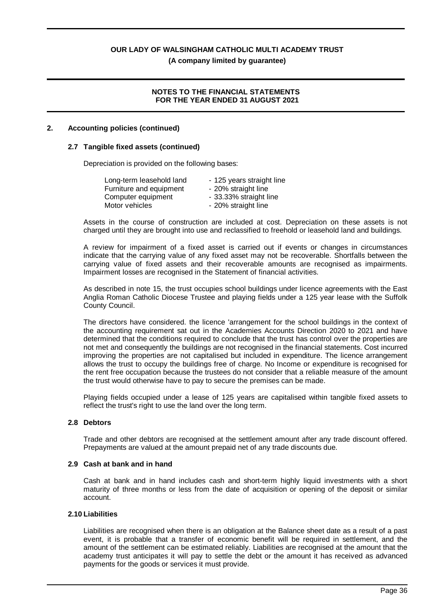**(A company limited by guarantee)**

## **NOTES TO THE FINANCIAL STATEMENTS FOR THE YEAR ENDED 31 AUGUST 2021**

## **2. Accounting policies (continued)**

### **2.7 Tangible fixed assets (continued)**

Depreciation is provided on the following bases:

| Long-term leasehold land | - 125 years straight line |
|--------------------------|---------------------------|
| Furniture and equipment  | - 20% straight line       |
| Computer equipment       | - 33.33% straight line    |
| Motor vehicles           | - 20% straight line       |

Assets in the course of construction are included at cost. Depreciation on these assets is not charged until they are brought into use and reclassified to freehold or leasehold land and buildings.

A review for impairment of a fixed asset is carried out if events or changes in circumstances indicate that the carrying value of any fixed asset may not be recoverable. Shortfalls between the carrying value of fixed assets and their recoverable amounts are recognised as impairments. Impairment losses are recognised in the Statement of financial activities.

As described in note 15, the trust occupies school buildings under licence agreements with the East Anglia Roman Catholic Diocese Trustee and playing fields under a 125 year lease with the Suffolk County Council.

The directors have considered. the licence 'arrangement for the school buildings in the context of the accounting requirement sat out in the Academies Accounts Direction 2020 to 2021 and have determined that the conditions required to conclude that the trust has control over the properties are not met and consequently the buildings are not recognised in the financial statements. Cost incurred improving the properties are not capitalised but included in expenditure. The licence arrangement allows the trust to occupy the buildings free of charge. No Income or expenditure is recognised for the rent free occupation because the trustees do not consider that a reliable measure of the amount the trust would otherwise have to pay to secure the premises can be made.

Playing fields occupied under a lease of 125 years are capitalised within tangible fixed assets to reflect the trust's right to use the land over the long term.

#### **2.8 Debtors**

Trade and other debtors are recognised at the settlement amount after any trade discount offered. Prepayments are valued at the amount prepaid net of any trade discounts due.

#### **2.9 Cash at bank and in hand**

Cash at bank and in hand includes cash and short-term highly liquid investments with a short maturity of three months or less from the date of acquisition or opening of the deposit or similar account.

#### **2.10 Liabilities**

Liabilities are recognised when there is an obligation at the Balance sheet date as a result of a past event, it is probable that a transfer of economic benefit will be required in settlement, and the amount of the settlement can be estimated reliably. Liabilities are recognised at the amount that the academy trust anticipates it will pay to settle the debt or the amount it has received as advanced payments for the goods or services it must provide.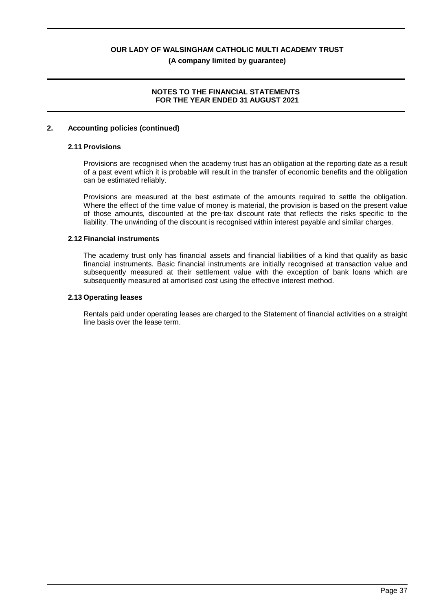## **NOTES TO THE FINANCIAL STATEMENTS FOR THE YEAR ENDED 31 AUGUST 2021**

#### **2. Accounting policies (continued)**

#### **2.11 Provisions**

Provisions are recognised when the academy trust has an obligation at the reporting date as a result of a past event which it is probable will result in the transfer of economic benefits and the obligation can be estimated reliably.

Provisions are measured at the best estimate of the amounts required to settle the obligation. Where the effect of the time value of money is material, the provision is based on the present value of those amounts, discounted at the pre-tax discount rate that reflects the risks specific to the liability. The unwinding of the discount is recognised within interest payable and similar charges.

#### **2.12 Financial instruments**

The academy trust only has financial assets and financial liabilities of a kind that qualify as basic financial instruments. Basic financial instruments are initially recognised at transaction value and subsequently measured at their settlement value with the exception of bank loans which are subsequently measured at amortised cost using the effective interest method.

#### **2.13 Operating leases**

Rentals paid under operating leases are charged to the Statement of financial activities on a straight line basis over the lease term.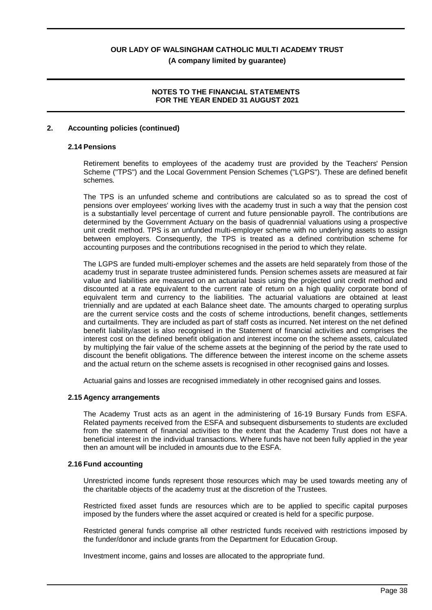## **NOTES TO THE FINANCIAL STATEMENTS FOR THE YEAR ENDED 31 AUGUST 2021**

#### **2. Accounting policies (continued)**

#### **2.14 Pensions**

Retirement benefits to employees of the academy trust are provided by the Teachers' Pension Scheme ("TPS") and the Local Government Pension Schemes ("LGPS"). These are defined benefit schemes.

The TPS is an unfunded scheme and contributions are calculated so as to spread the cost of pensions over employees' working lives with the academy trust in such a way that the pension cost is a substantially level percentage of current and future pensionable payroll. The contributions are determined by the Government Actuary on the basis of quadrennial valuations using a prospective unit credit method. TPS is an unfunded multi-employer scheme with no underlying assets to assign between employers. Consequently, the TPS is treated as a defined contribution scheme for accounting purposes and the contributions recognised in the period to which they relate.

The LGPS are funded multi-employer schemes and the assets are held separately from those of the academy trust in separate trustee administered funds. Pension schemes assets are measured at fair value and liabilities are measured on an actuarial basis using the projected unit credit method and discounted at a rate equivalent to the current rate of return on a high quality corporate bond of equivalent term and currency to the liabilities. The actuarial valuations are obtained at least triennially and are updated at each Balance sheet date. The amounts charged to operating surplus are the current service costs and the costs of scheme introductions, benefit changes, settlements and curtailments. They are included as part of staff costs as incurred. Net interest on the net defined benefit liability/asset is also recognised in the Statement of financial activities and comprises the interest cost on the defined benefit obligation and interest income on the scheme assets, calculated by multiplying the fair value of the scheme assets at the beginning of the period by the rate used to discount the benefit obligations. The difference between the interest income on the scheme assets and the actual return on the scheme assets is recognised in other recognised gains and losses.

Actuarial gains and losses are recognised immediately in other recognised gains and losses.

#### **2.15 Agency arrangements**

The Academy Trust acts as an agent in the administering of 16-19 Bursary Funds from ESFA. Related payments received from the ESFA and subsequent disbursements to students are excluded from the statement of financial activities to the extent that the Academy Trust does not have a beneficial interest in the individual transactions. Where funds have not been fully applied in the year then an amount will be included in amounts due to the ESFA.

#### **2.16 Fund accounting**

Unrestricted income funds represent those resources which may be used towards meeting any of the charitable objects of the academy trust at the discretion of the Trustees.

Restricted fixed asset funds are resources which are to be applied to specific capital purposes imposed by the funders where the asset acquired or created is held for a specific purpose.

Restricted general funds comprise all other restricted funds received with restrictions imposed by the funder/donor and include grants from the Department for Education Group.

Investment income, gains and losses are allocated to the appropriate fund.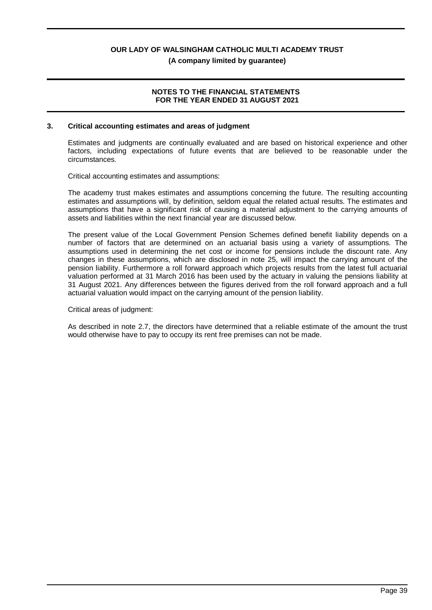**(A company limited by guarantee)**

## **NOTES TO THE FINANCIAL STATEMENTS FOR THE YEAR ENDED 31 AUGUST 2021**

### **3. Critical accounting estimates and areas of judgment**

Estimates and judgments are continually evaluated and are based on historical experience and other factors, including expectations of future events that are believed to be reasonable under the circumstances.

Critical accounting estimates and assumptions:

The academy trust makes estimates and assumptions concerning the future. The resulting accounting estimates and assumptions will, by definition, seldom equal the related actual results. The estimates and assumptions that have a significant risk of causing a material adjustment to the carrying amounts of assets and liabilities within the next financial year are discussed below.

The present value of the Local Government Pension Schemes defined benefit liability depends on a number of factors that are determined on an actuarial basis using a variety of assumptions. The assumptions used in determining the net cost or income for pensions include the discount rate. Any changes in these assumptions, which are disclosed in note 25, will impact the carrying amount of the pension liability. Furthermore a roll forward approach which projects results from the latest full actuarial valuation performed at 31 March 2016 has been used by the actuary in valuing the pensions liability at 31 August 2021. Any differences between the figures derived from the roll forward approach and a full actuarial valuation would impact on the carrying amount of the pension liability.

#### Critical areas of judgment:

As described in note 2.7, the directors have determined that a reliable estimate of the amount the trust would otherwise have to pay to occupy its rent free premises can not be made.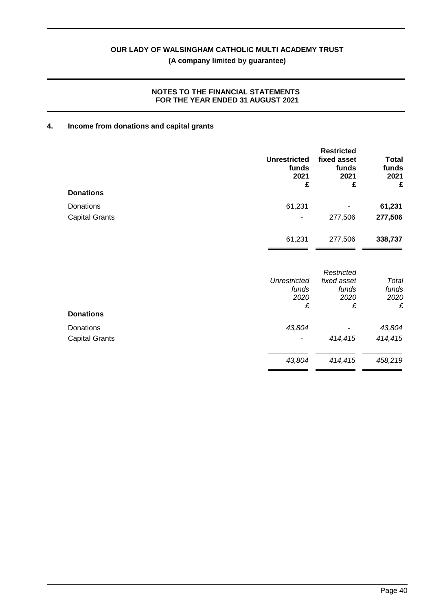## **NOTES TO THE FINANCIAL STATEMENTS FOR THE YEAR ENDED 31 AUGUST 2021**

## **4. Income from donations and capital grants**

|                       | <b>Unrestricted</b><br>funds<br>2021<br>£ | <b>Restricted</b><br>fixed asset<br>funds<br>2021<br>£ | <b>Total</b><br>funds<br>2021<br>£ |
|-----------------------|-------------------------------------------|--------------------------------------------------------|------------------------------------|
| <b>Donations</b>      |                                           |                                                        |                                    |
| Donations             | 61,231                                    |                                                        | 61,231                             |
| <b>Capital Grants</b> |                                           | 277,506                                                | 277,506                            |
|                       | 61,231                                    | 277,506                                                | 338,737                            |
|                       | <b>Unrestricted</b>                       | Restricted<br>fixed asset                              | Total                              |
|                       | funds<br>2020                             | funds<br>2020                                          | funds<br>2020                      |
| <b>Donations</b>      | £                                         | £                                                      | £                                  |
| Donations             | 43,804                                    |                                                        | 43,804                             |
| <b>Capital Grants</b> |                                           | 414,415                                                | 414,415                            |
|                       | 43,804                                    | 414,415                                                | 458,219                            |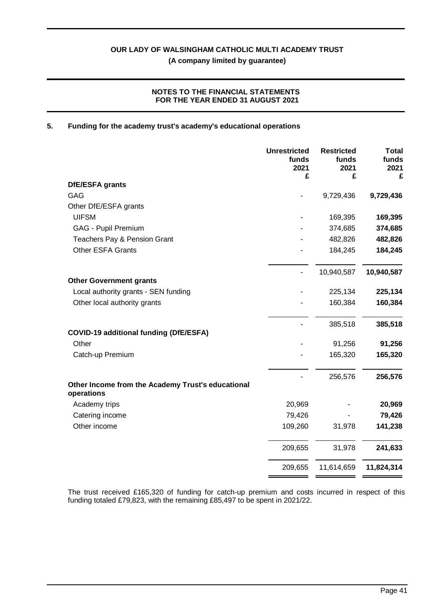## **NOTES TO THE FINANCIAL STATEMENTS FOR THE YEAR ENDED 31 AUGUST 2021**

#### **5. Funding for the academy trust's academy's educational operations**

|                                                                 | <b>Unrestricted</b><br>funds<br>2021<br>£ | <b>Restricted</b><br>funds<br>2021<br>£ | <b>Total</b><br>funds<br>2021<br>£ |
|-----------------------------------------------------------------|-------------------------------------------|-----------------------------------------|------------------------------------|
| DfE/ESFA grants                                                 |                                           |                                         |                                    |
| GAG                                                             |                                           | 9,729,436                               | 9,729,436                          |
| Other DfE/ESFA grants                                           |                                           |                                         |                                    |
| <b>UIFSM</b>                                                    |                                           | 169,395                                 | 169,395                            |
| GAG - Pupil Premium                                             |                                           | 374,685                                 | 374,685                            |
| Teachers Pay & Pension Grant                                    |                                           | 482,826                                 | 482,826                            |
| <b>Other ESFA Grants</b>                                        |                                           | 184,245                                 | 184,245                            |
|                                                                 |                                           | 10,940,587                              | 10,940,587                         |
| <b>Other Government grants</b>                                  |                                           |                                         |                                    |
| Local authority grants - SEN funding                            |                                           | 225,134                                 | 225,134                            |
| Other local authority grants                                    |                                           | 160,384                                 | 160,384                            |
| <b>COVID-19 additional funding (DfE/ESFA)</b>                   |                                           | 385,518                                 | 385,518                            |
| Other                                                           |                                           | 91,256                                  | 91,256                             |
| Catch-up Premium                                                |                                           | 165,320                                 | 165,320                            |
|                                                                 |                                           |                                         |                                    |
| Other Income from the Academy Trust's educational<br>operations |                                           | 256,576                                 | 256,576                            |
| Academy trips                                                   | 20,969                                    |                                         | 20,969                             |
| Catering income                                                 | 79,426                                    |                                         | 79,426                             |
| Other income                                                    | 109,260                                   | 31,978                                  | 141,238                            |
|                                                                 | 209,655                                   | 31,978                                  | 241,633                            |
|                                                                 | 209,655                                   | 11,614,659                              | 11,824,314                         |

The trust received £165,320 of funding for catch-up premium and costs incurred in respect of this funding totaled £79,823, with the remaining £85,497 to be spent in 2021/22.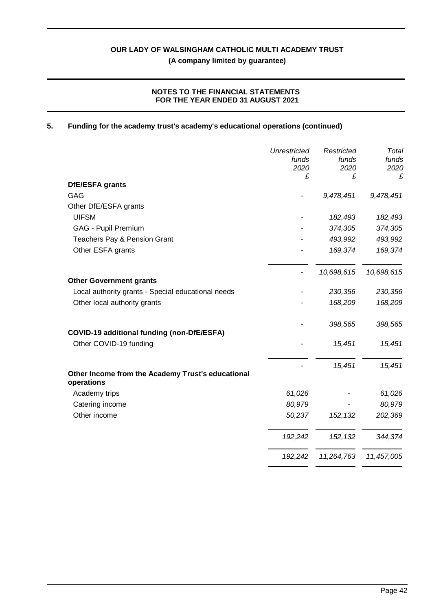## **NOTES TO THE FINANCIAL STATEMENTS FOR THE YEAR ENDED 31 AUGUST 2021**

## **5. Funding for the academy trust's academy's educational operations (continued)**

|                                                                 | <b>Unrestricted</b><br>funds<br>2020 | Restricted<br>funds<br>2020 | Total<br>funds<br>2020<br>£ |
|-----------------------------------------------------------------|--------------------------------------|-----------------------------|-----------------------------|
| DfE/ESFA grants                                                 | £                                    | £                           |                             |
| <b>GAG</b>                                                      |                                      | 9,478,451                   | 9,478,451                   |
| Other DfE/ESFA grants                                           |                                      |                             |                             |
| <b>UIFSM</b>                                                    |                                      | 182,493                     | 182,493                     |
| GAG - Pupil Premium                                             |                                      | 374,305                     | 374,305                     |
| Teachers Pay & Pension Grant                                    |                                      | 493,992                     | 493,992                     |
| Other ESFA grants                                               |                                      | 169,374                     | 169,374                     |
| <b>Other Government grants</b>                                  |                                      | 10,698,615                  | 10,698,615                  |
| Local authority grants - Special educational needs              |                                      | 230,356                     | 230,356                     |
| Other local authority grants                                    |                                      | 168,209                     | 168,209                     |
|                                                                 |                                      | 398,565                     | 398,565                     |
| COVID-19 additional funding (non-DfE/ESFA)                      |                                      |                             |                             |
| Other COVID-19 funding                                          |                                      | 15,451                      | 15,451                      |
|                                                                 |                                      | 15,451                      | 15,451                      |
| Other Income from the Academy Trust's educational<br>operations |                                      |                             |                             |
| Academy trips                                                   | 61,026                               |                             | 61,026                      |
| Catering income                                                 | 80,979                               |                             | 80,979                      |
| Other income                                                    | 50,237                               | 152, 132                    | 202,369                     |
|                                                                 | 192,242                              | 152, 132                    | 344,374                     |
|                                                                 | 192,242                              | 11,264,763                  | 11,457,005                  |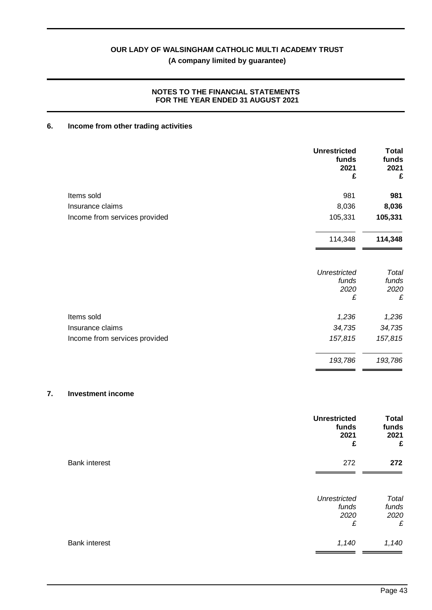## **NOTES TO THE FINANCIAL STATEMENTS FOR THE YEAR ENDED 31 AUGUST 2021**

## **6. Income from other trading activities**

|                               | <b>Unrestricted</b><br>funds<br>2021<br>£ | <b>Total</b><br>funds<br>2021<br>£ |
|-------------------------------|-------------------------------------------|------------------------------------|
| Items sold                    | 981                                       | 981                                |
| Insurance claims              | 8,036                                     | 8,036                              |
| Income from services provided | 105,331                                   | 105,331                            |
|                               | 114,348                                   | 114,348                            |
|                               | <b>Unrestricted</b><br>funds<br>2020<br>£ | Total<br>funds<br>2020<br>£        |
|                               |                                           |                                    |
| Items sold                    | 1,236                                     | 1,236                              |
| Insurance claims              | 34,735                                    | 34,735                             |
| Income from services provided | 157,815                                   | 157,815                            |
|                               | 193,786                                   | 193,786                            |
|                               |                                           |                                    |

## **7. Investment income**

|                      | <b>Unrestricted</b><br>funds<br>2021<br>£ | <b>Total</b><br>funds<br>2021<br>£ |
|----------------------|-------------------------------------------|------------------------------------|
| <b>Bank interest</b> | 272                                       | 272                                |
|                      | <b>Unrestricted</b><br>funds<br>2020<br>£ | Total<br>funds<br>2020<br>£        |
| <b>Bank interest</b> | 1,140                                     | 1,140                              |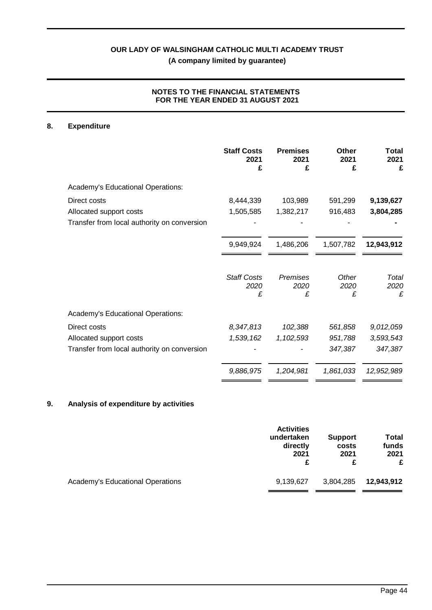## **NOTES TO THE FINANCIAL STATEMENTS FOR THE YEAR ENDED 31 AUGUST 2021**

## **8. Expenditure**

|                                             | <b>Staff Costs</b><br>2021<br>£ | <b>Premises</b><br>2021<br>£ | Other<br>2021<br>£ | Total<br>2021<br>£ |
|---------------------------------------------|---------------------------------|------------------------------|--------------------|--------------------|
| Academy's Educational Operations:           |                                 |                              |                    |                    |
| Direct costs                                | 8,444,339                       | 103,989                      | 591,299            | 9,139,627          |
| Allocated support costs                     | 1,505,585                       | 1,382,217                    | 916,483            | 3,804,285          |
| Transfer from local authority on conversion |                                 |                              |                    |                    |
|                                             | 9,949,924                       | 1,486,206                    | 1,507,782          | 12,943,912         |
|                                             | <b>Staff Costs</b><br>2020<br>£ | Premises<br>2020<br>£        | Other<br>2020<br>£ | Total<br>2020<br>£ |
| Academy's Educational Operations:           |                                 |                              |                    |                    |
| Direct costs                                | 8,347,813                       | 102,388                      | 561,858            | 9,012,059          |
| Allocated support costs                     | 1,539,162                       | 1,102,593                    | 951,788            | 3,593,543          |
| Transfer from local authority on conversion |                                 |                              | 347,387            | 347,387            |
|                                             | 9,886,975                       | 1,204,981                    | 1,861,033          | 12,952,989         |

## **9. Analysis of expenditure by activities**

|                                  | <b>Activities</b> | <b>Support</b> | Total      |
|----------------------------------|-------------------|----------------|------------|
|                                  | undertaken        | costs          | funds      |
|                                  | directly          | 2021           | 2021       |
|                                  | 2021              | £              | £          |
| Academy's Educational Operations | 9,139,627         | 3,804,285      | 12,943,912 |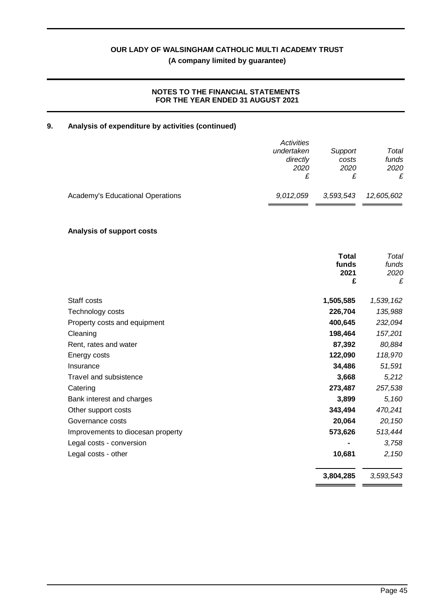## **NOTES TO THE FINANCIAL STATEMENTS FOR THE YEAR ENDED 31 AUGUST 2021**

## **9. Analysis of expenditure by activities (continued)**

|                                  | Activities |           |            |
|----------------------------------|------------|-----------|------------|
|                                  | undertaken | Support   | Total      |
|                                  | directly   | costs     | funds      |
|                                  | 2020       | 2020      | 2020       |
|                                  |            |           | £          |
| Academy's Educational Operations | 9,012,059  | 3,593,543 | 12,605,602 |
|                                  |            |           |            |

## **Analysis of support costs**

|                                   | <b>Total</b><br>funds<br>2021<br>£ | Total<br>funds<br>2020<br>£ |
|-----------------------------------|------------------------------------|-----------------------------|
| Staff costs                       | 1,505,585                          | 1,539,162                   |
| Technology costs                  | 226,704                            | 135,988                     |
| Property costs and equipment      | 400,645                            | 232,094                     |
| Cleaning                          | 198,464                            | 157,201                     |
| Rent, rates and water             | 87,392                             | 80,884                      |
| Energy costs                      | 122,090                            | 118,970                     |
| Insurance                         | 34,486                             | 51,591                      |
| Travel and subsistence            | 3,668                              | 5,212                       |
| Catering                          | 273,487                            | 257,538                     |
| Bank interest and charges         | 3,899                              | 5,160                       |
| Other support costs               | 343,494                            | 470,241                     |
| Governance costs                  | 20,064                             | 20,150                      |
| Improvements to diocesan property | 573,626                            | 513,444                     |
| Legal costs - conversion          |                                    | 3,758                       |
| Legal costs - other               | 10,681                             | 2,150                       |
|                                   | 3,804,285                          | 3,593,543                   |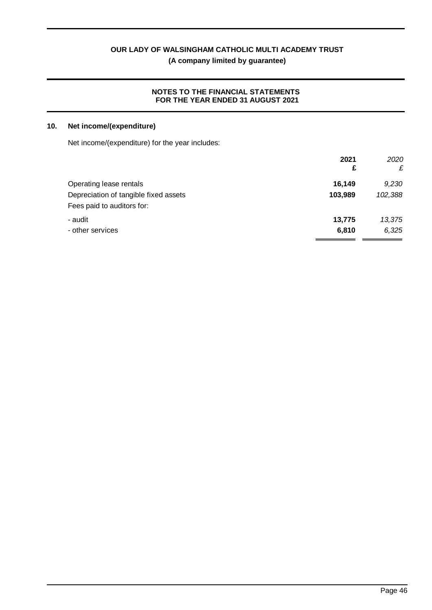**(A company limited by guarantee)**

## **NOTES TO THE FINANCIAL STATEMENTS FOR THE YEAR ENDED 31 AUGUST 2021**

## **10. Net income/(expenditure)**

Net income/(expenditure) for the year includes:

| 2021<br>£ | 2020<br>£ |
|-----------|-----------|
|           |           |
| 103,989   | 102,388   |
|           |           |
| 13,775    | 13,375    |
| 6,810     | 6,325     |
|           |           |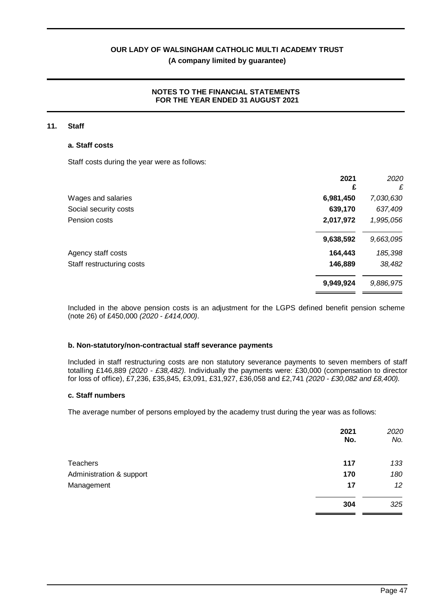## **NOTES TO THE FINANCIAL STATEMENTS FOR THE YEAR ENDED 31 AUGUST 2021**

#### **11. Staff**

#### **a. Staff costs**

Staff costs during the year were as follows:

|                           | 2021      | 2020      |
|---------------------------|-----------|-----------|
|                           | £         | £         |
| Wages and salaries        | 6,981,450 | 7,030,630 |
| Social security costs     | 639,170   | 637,409   |
| Pension costs             | 2,017,972 | 1,995,056 |
|                           | 9,638,592 | 9,663,095 |
| Agency staff costs        | 164,443   | 185,398   |
| Staff restructuring costs | 146,889   | 38,482    |
|                           | 9,949,924 | 9,886,975 |

Included in the above pension costs is an adjustment for the LGPS defined benefit pension scheme (note 26) of £450,000 *(2020 - £414,000)*.

#### **b. Non-statutory/non-contractual staff severance payments**

Included in staff restructuring costs are non statutory severance payments to seven members of staff totalling £146,889 *(2020 - £38,482).* Individually the payments were: £30,000 (compensation to director for loss of office), £7,236, £35,845, £3,091, £31,927, £36,058 and £2,741 *(2020 - £30,082 and £8,400).*

## **c. Staff numbers**

The average number of persons employed by the academy trust during the year was as follows:

|                          | 2021<br>No. | 2020<br>No. |
|--------------------------|-------------|-------------|
| <b>Teachers</b>          | 117         | 133         |
| Administration & support | 170         | 180         |
| Management               | 17          | 12          |
|                          | 304         | 325         |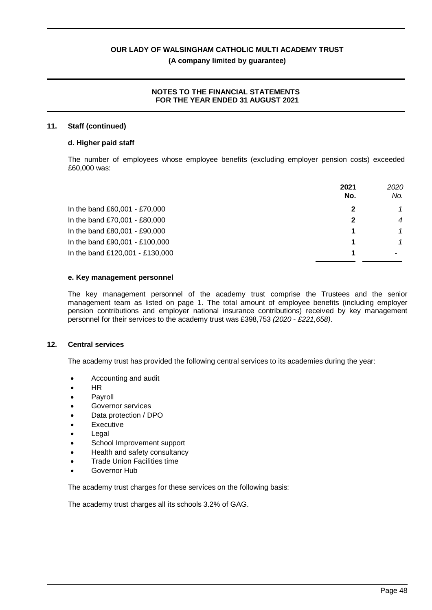#### **NOTES TO THE FINANCIAL STATEMENTS FOR THE YEAR ENDED 31 AUGUST 2021**

#### **11. Staff (continued)**

#### **d. Higher paid staff**

The number of employees whose employee benefits (excluding employer pension costs) exceeded £60,000 was:

|                                 | 2021<br>No. | 2020<br>No.    |
|---------------------------------|-------------|----------------|
| In the band £60,001 - £70,000   |             | 1              |
| In the band £70,001 - £80,000   |             | $\overline{4}$ |
| In the band £80,001 - £90,000   |             |                |
| In the band £90,001 - £100,000  |             |                |
| In the band £120,001 - £130,000 |             |                |

#### **e. Key management personnel**

The key management personnel of the academy trust comprise the Trustees and the senior management team as listed on page 1. The total amount of employee benefits (including employer pension contributions and employer national insurance contributions) received by key management personnel for their services to the academy trust was £398,753 *(2020* - *£221,658)*.

#### **12. Central services**

The academy trust has provided the following central services to its academies during the year:

- · Accounting and audit
- · HR
- **Payroll**
- Governor services
- Data protection / DPO
- **Executive**
- **Legal**
- School Improvement support
- Health and safety consultancy
- **Trade Union Facilities time**
- · Governor Hub

The academy trust charges for these services on the following basis:

The academy trust charges all its schools 3.2% of GAG.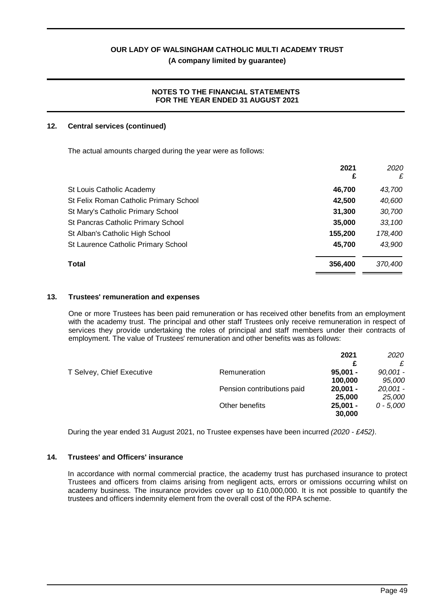## **NOTES TO THE FINANCIAL STATEMENTS FOR THE YEAR ENDED 31 AUGUST 2021**

## **12. Central services (continued)**

The actual amounts charged during the year were as follows:

|                                        | 2021<br>£ | 2020<br>£ |
|----------------------------------------|-----------|-----------|
| St Louis Catholic Academy              | 46.700    | 43,700    |
| St Felix Roman Catholic Primary School | 42,500    | 40,600    |
| St Mary's Catholic Primary School      | 31,300    | 30,700    |
| St Pancras Catholic Primary School     | 35,000    | 33,100    |
| St Alban's Catholic High School        | 155,200   | 178,400   |
| St Laurence Catholic Primary School    | 45,700    | 43,900    |
| Total                                  | 356,400   | 370,400   |

## **13. Trustees' remuneration and expenses**

One or more Trustees has been paid remuneration or has received other benefits from an employment with the academy trust. The principal and other staff Trustees only receive remuneration in respect of services they provide undertaking the roles of principal and staff members under their contracts of employment. The value of Trustees' remuneration and other benefits was as follows:

|                           |                            | 2021       | 2020      |
|---------------------------|----------------------------|------------|-----------|
|                           |                            | c          |           |
| T Selvey, Chief Executive | Remuneration               | $95.001 -$ | 90,001 -  |
|                           |                            | 100,000    | 95,000    |
|                           | Pension contributions paid | $20.001 -$ | 20,001 -  |
|                           |                            | 25,000     | 25,000    |
|                           | Other benefits             | $25.001 -$ | 0 - 5.000 |
|                           |                            | 30,000     |           |

During the year ended 31 August 2021, no Trustee expenses have been incurred *(2020 - £452)*.

## **14. Trustees' and Officers' insurance**

In accordance with normal commercial practice, the academy trust has purchased insurance to protect Trustees and officers from claims arising from negligent acts, errors or omissions occurring whilst on academy business. The insurance provides cover up to £10,000,000. It is not possible to quantify the trustees and officers indemnity element from the overall cost of the RPA scheme.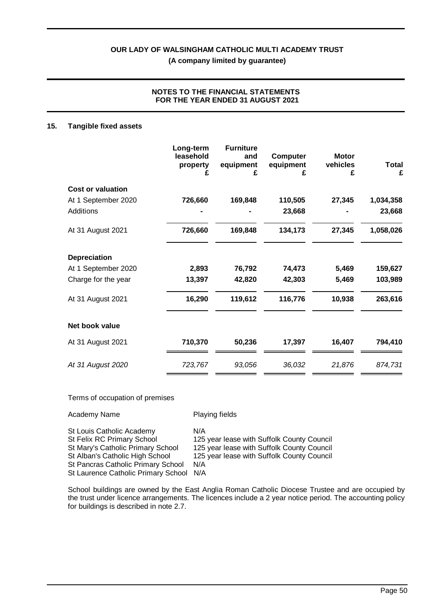## **NOTES TO THE FINANCIAL STATEMENTS FOR THE YEAR ENDED 31 AUGUST 2021**

#### **15. Tangible fixed assets**

|                          | Long-term<br>leasehold<br>property<br>£ | <b>Furniture</b><br>and<br>equipment<br>£ | <b>Computer</b><br>equipment<br>£ | <b>Motor</b><br>vehicles<br>£ | <b>Total</b><br>£ |
|--------------------------|-----------------------------------------|-------------------------------------------|-----------------------------------|-------------------------------|-------------------|
| <b>Cost or valuation</b> |                                         |                                           |                                   |                               |                   |
| At 1 September 2020      | 726,660                                 | 169,848                                   | 110,505                           | 27,345                        | 1,034,358         |
| <b>Additions</b>         |                                         |                                           | 23,668                            |                               | 23,668            |
| At 31 August 2021        | 726,660                                 | 169,848                                   | 134,173                           | 27,345                        | 1,058,026         |
| <b>Depreciation</b>      |                                         |                                           |                                   |                               |                   |
| At 1 September 2020      | 2,893                                   | 76,792                                    | 74,473                            | 5,469                         | 159,627           |
| Charge for the year      | 13,397                                  | 42,820                                    | 42,303                            | 5,469                         | 103,989           |
| At 31 August 2021        | 16,290                                  | 119,612                                   | 116,776                           | 10,938                        | 263,616           |
| Net book value           |                                         |                                           |                                   |                               |                   |
| At 31 August 2021        | 710,370                                 | 50,236                                    | 17,397                            | 16,407                        | 794,410           |
| At 31 August 2020        | 723,767                                 | 93,056                                    | 36,032                            | 21,876                        | 874,731           |

#### Terms of occupation of premises

| Playing fields                                                                           |
|------------------------------------------------------------------------------------------|
| N/A<br>125 year lease with Suffolk County Council                                        |
| 125 year lease with Suffolk County Council<br>125 year lease with Suffolk County Council |
| N/A<br>N/A                                                                               |
|                                                                                          |

School buildings are owned by the East Anglia Roman Catholic Diocese Trustee and are occupied by the trust under licence arrangements. The licences include a 2 year notice period. The accounting policy for buildings is described in note 2.7.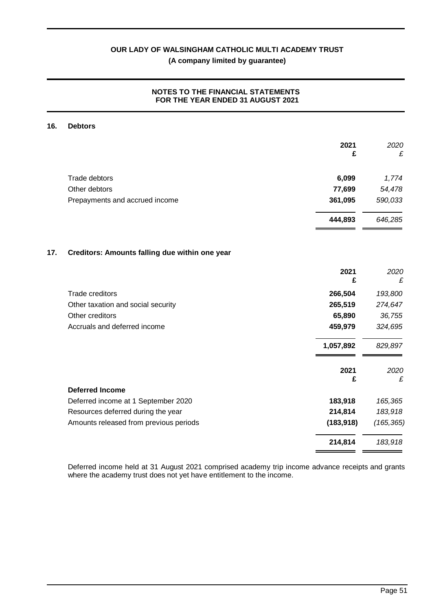## **NOTES TO THE FINANCIAL STATEMENTS FOR THE YEAR ENDED 31 AUGUST 2021**

#### **16. Debtors**

|     |                                                | 2021<br>£  | 2020<br>£  |
|-----|------------------------------------------------|------------|------------|
|     | <b>Trade debtors</b>                           | 6,099      | 1,774      |
|     | Other debtors                                  | 77,699     | 54,478     |
|     | Prepayments and accrued income                 | 361,095    | 590,033    |
|     |                                                | 444,893    | 646,285    |
| 17. | Creditors: Amounts falling due within one year |            |            |
|     |                                                | 2021<br>£  | 2020<br>£  |
|     | <b>Trade creditors</b>                         | 266,504    | 193,800    |
|     | Other taxation and social security             | 265,519    | 274,647    |
|     | Other creditors                                | 65,890     | 36,755     |
|     | Accruals and deferred income                   | 459,979    | 324,695    |
|     |                                                | 1,057,892  | 829,897    |
|     |                                                | 2021<br>£  | 2020<br>£  |
|     | <b>Deferred Income</b>                         |            |            |
|     | Deferred income at 1 September 2020            | 183,918    | 165,365    |
|     | Resources deferred during the year             | 214,814    | 183,918    |
|     | Amounts released from previous periods         | (183, 918) | (165, 365) |
|     |                                                | 214,814    | 183,918    |

Deferred income held at 31 August 2021 comprised academy trip income advance receipts and grants where the academy trust does not yet have entitlement to the income.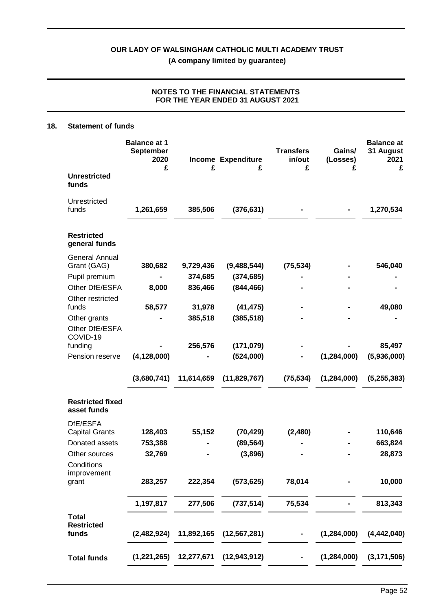## **NOTES TO THE FINANCIAL STATEMENTS FOR THE YEAR ENDED 31 AUGUST 2021**

#### **18. Statement of funds**

|                                            | <b>Balance at 1</b><br><b>September</b><br>2020<br>£ | £                    | Income Expenditure<br>£   | <b>Transfers</b><br>in/out<br>£ | Gains/<br>(Losses)<br>£ | <b>Balance at</b><br>31 August<br>2021<br>£ |
|--------------------------------------------|------------------------------------------------------|----------------------|---------------------------|---------------------------------|-------------------------|---------------------------------------------|
| <b>Unrestricted</b><br>funds               |                                                      |                      |                           |                                 |                         |                                             |
| Unrestricted<br>funds                      | 1,261,659                                            | 385,506              | (376, 631)                |                                 |                         | 1,270,534                                   |
| <b>Restricted</b><br>general funds         |                                                      |                      |                           |                                 |                         |                                             |
| <b>General Annual</b>                      |                                                      |                      |                           |                                 |                         | 546,040                                     |
| Grant (GAG)<br>Pupil premium               | 380,682                                              | 9,729,436<br>374,685 | (9,488,544)<br>(374, 685) | (75, 534)                       |                         |                                             |
| Other DfE/ESFA<br>Other restricted         | 8,000                                                | 836,466              | (844, 466)                |                                 |                         |                                             |
| funds                                      | 58,577                                               | 31,978               | (41, 475)                 |                                 |                         | 49,080                                      |
| Other grants<br>Other DfE/ESFA<br>COVID-19 |                                                      | 385,518              | (385, 518)                |                                 |                         |                                             |
| funding                                    |                                                      | 256,576              | (171, 079)                |                                 |                         | 85,497                                      |
| Pension reserve                            | (4, 128, 000)                                        |                      | (524,000)                 |                                 | (1, 284, 000)           | (5,936,000)                                 |
|                                            | (3,680,741)                                          | 11,614,659           | (11,829,767)              | (75, 534)                       | (1, 284, 000)           | (5, 255, 383)                               |
| <b>Restricted fixed</b><br>asset funds     |                                                      |                      |                           |                                 |                         |                                             |
| DfE/ESFA<br><b>Capital Grants</b>          | 128,403                                              | 55,152               | (70, 429)                 | (2,480)                         |                         | 110,646                                     |
| Donated assets                             | 753,388                                              |                      | (89, 564)                 |                                 |                         | 663,824                                     |
| Other sources                              | 32,769                                               |                      | (3,896)                   |                                 |                         | 28,873                                      |
| Conditions<br>improvement<br>grant         | 283,257                                              | 222,354              | (573, 625)                | 78,014                          |                         | 10,000                                      |
|                                            | 1,197,817                                            | 277,506              | (737, 514)                | 75,534                          |                         | 813,343                                     |
| <b>Total</b><br><b>Restricted</b><br>funds | (2,482,924)                                          | 11,892,165           | (12, 567, 281)            |                                 | (1, 284, 000)           | (4, 442, 040)                               |
| <b>Total funds</b>                         | (1,221,265)                                          | 12,277,671           | (12, 943, 912)            |                                 | (1, 284, 000)           | (3, 171, 506)                               |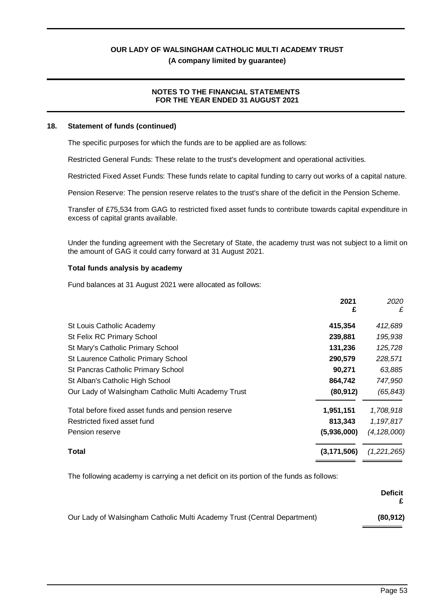## **NOTES TO THE FINANCIAL STATEMENTS FOR THE YEAR ENDED 31 AUGUST 2021**

#### **18. Statement of funds (continued)**

The specific purposes for which the funds are to be applied are as follows:

Restricted General Funds: These relate to the trust's development and operational activities.

Restricted Fixed Asset Funds: These funds relate to capital funding to carry out works of a capital nature.

Pension Reserve: The pension reserve relates to the trust's share of the deficit in the Pension Scheme.

Transfer of £75,534 from GAG to restricted fixed asset funds to contribute towards capital expenditure in excess of capital grants available.

Under the funding agreement with the Secretary of State, the academy trust was not subject to a limit on the amount of GAG it could carry forward at 31 August 2021.

#### **Total funds analysis by academy**

Fund balances at 31 August 2021 were allocated as follows:

| 2021<br>£                                                        | 2020<br>£     |
|------------------------------------------------------------------|---------------|
| 415,354<br>St Louis Catholic Academy                             | 412,689       |
| St Felix RC Primary School<br>239,881                            | 195,938       |
| 131,236<br>St Mary's Catholic Primary School                     | 125,728       |
| 290,579<br>St Laurence Catholic Primary School                   | 228,571       |
| St Pancras Catholic Primary School<br>90,271                     | 63,885        |
| St Alban's Catholic High School<br>864,742                       | 747,950       |
| Our Lady of Walsingham Catholic Multi Academy Trust<br>(80, 912) | (65, 843)     |
| Total before fixed asset funds and pension reserve<br>1,951,151  | 1,708,918     |
| Restricted fixed asset fund<br>813,343                           | 1,197,817     |
| (5,936,000)<br>Pension reserve                                   | (4, 128, 000) |
| Total<br>(3, 171, 506)                                           | (1,221,265)   |

The following academy is carrying a net deficit on its portion of the funds as follows:

|                                                                          | <b>Deficit</b> |
|--------------------------------------------------------------------------|----------------|
| Our Lady of Walsingham Catholic Multi Academy Trust (Central Department) | (80, 912)      |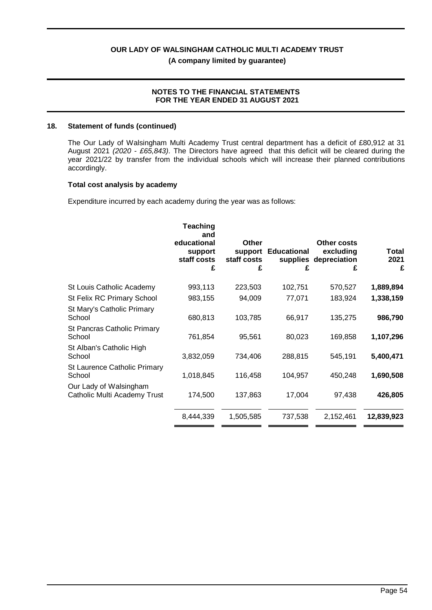#### **NOTES TO THE FINANCIAL STATEMENTS FOR THE YEAR ENDED 31 AUGUST 2021**

#### **18. Statement of funds (continued)**

The Our Lady of Walsingham Multi Academy Trust central department has a deficit of £80,912 at 31 August 2021 *(2020 - £65,843)*. The Directors have agreed that this deficit will be cleared during the year 2021/22 by transfer from the individual schools which will increase their planned contributions accordingly.

#### **Total cost analysis by academy**

Expenditure incurred by each academy during the year was as follows:

|                                                        | <b>Teaching</b><br>and<br>educational<br>support<br>staff costs<br>£ | Other<br>support<br>staff costs<br>£ | <b>Educational</b><br>£ | Other costs<br>excluding<br>supplies depreciation<br>£ | Total<br>2021<br>£ |
|--------------------------------------------------------|----------------------------------------------------------------------|--------------------------------------|-------------------------|--------------------------------------------------------|--------------------|
| St Louis Catholic Academy                              | 993,113                                                              | 223,503                              | 102,751                 | 570,527                                                | 1,889,894          |
| St Felix RC Primary School                             | 983,155                                                              | 94,009                               | 77,071                  | 183,924                                                | 1,338,159          |
| St Mary's Catholic Primary<br>School                   | 680,813                                                              | 103,785                              | 66,917                  | 135,275                                                | 986,790            |
| St Pancras Catholic Primary<br>School                  | 761,854                                                              | 95,561                               | 80,023                  | 169,858                                                | 1,107,296          |
| St Alban's Catholic High<br>School                     | 3,832,059                                                            | 734,406                              | 288,815                 | 545,191                                                | 5,400,471          |
| St Laurence Catholic Primary<br>School                 | 1,018,845                                                            | 116,458                              | 104,957                 | 450,248                                                | 1,690,508          |
| Our Lady of Walsingham<br>Catholic Multi Academy Trust | 174,500                                                              | 137,863                              | 17,004                  | 97,438                                                 | 426,805            |
|                                                        | 8,444,339                                                            | 1,505,585                            | 737,538                 | 2,152,461                                              | 12,839,923         |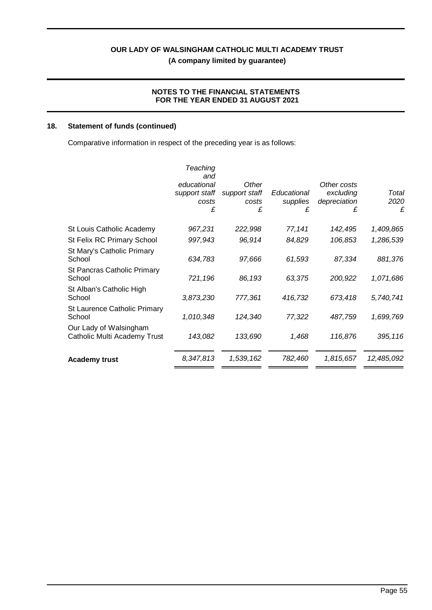## **NOTES TO THE FINANCIAL STATEMENTS FOR THE YEAR ENDED 31 AUGUST 2021**

## **18. Statement of funds (continued)**

Comparative information in respect of the preceding year is as follows:

|                                                        | Teaching<br>and<br>educational<br>support staff<br>costs<br>£ | Other<br>support staff<br>costs<br>£ | Educational<br>supplies<br>£ | Other costs<br>excluding<br>depreciation<br>£ | Total<br>2020<br>£ |
|--------------------------------------------------------|---------------------------------------------------------------|--------------------------------------|------------------------------|-----------------------------------------------|--------------------|
| St Louis Catholic Academy                              | 967,231                                                       | 222,998                              | 77,141                       | 142,495                                       | 1,409,865          |
| St Felix RC Primary School                             | 997,943                                                       | 96,914                               | 84,829                       | 106,853                                       | 1,286,539          |
| St Mary's Catholic Primary<br>School                   | 634,783                                                       | 97,666                               | 61,593                       | 87,334                                        | 881,376            |
| St Pancras Catholic Primary<br>School                  | 721,196                                                       | 86,193                               | 63,375                       | 200,922                                       | 1,071,686          |
| St Alban's Catholic High<br>School                     | 3,873,230                                                     | 777,361                              | 416,732                      | 673,418                                       | 5,740,741          |
| St Laurence Catholic Primary<br>School                 | 1,010,348                                                     | 124,340                              | 77,322                       | 487,759                                       | 1,699,769          |
| Our Lady of Walsingham<br>Catholic Multi Academy Trust | 143,082                                                       | 133,690                              | 1,468                        | 116,876                                       | 395, 116           |
| <b>Academy trust</b>                                   | 8,347,813                                                     | 1,539,162                            | 782,460                      | 1,815,657                                     | 12,485,092         |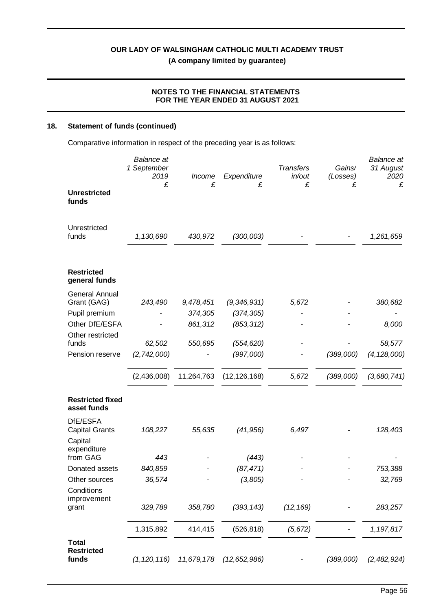## **NOTES TO THE FINANCIAL STATEMENTS FOR THE YEAR ENDED 31 AUGUST 2021**

## **18. Statement of funds (continued)**

Comparative information in respect of the preceding year is as follows:

| <b>Unrestricted</b>                        | <b>Balance</b> at<br>1 September<br>2019<br>£ | Income<br>£ | Expenditure<br>£ | <b>Transfers</b><br>in/out<br>£ | Gains/<br>(Losses)<br>£ | <b>Balance</b> at<br>31 August<br>2020<br>£ |
|--------------------------------------------|-----------------------------------------------|-------------|------------------|---------------------------------|-------------------------|---------------------------------------------|
| funds                                      |                                               |             |                  |                                 |                         |                                             |
| Unrestricted<br>funds                      | 1,130,690                                     | 430,972     | (300,003)        |                                 |                         | 1,261,659                                   |
| <b>Restricted</b><br>general funds         |                                               |             |                  |                                 |                         |                                             |
| <b>General Annual</b><br>Grant (GAG)       | 243,490                                       | 9,478,451   | (9, 346, 931)    | 5,672                           |                         | 380,682                                     |
| Pupil premium                              |                                               | 374,305     | (374, 305)       |                                 |                         |                                             |
| Other DfE/ESFA                             |                                               | 861,312     | (853, 312)       |                                 |                         | 8,000                                       |
| Other restricted                           |                                               |             |                  |                                 |                         |                                             |
| funds                                      | 62,502                                        | 550,695     | (554, 620)       |                                 |                         | 58,577                                      |
| Pension reserve                            | (2,742,000)                                   |             | (997,000)        |                                 | (389,000)               | (4, 128, 000)                               |
|                                            | (2,436,008)                                   | 11,264,763  | (12, 126, 168)   | 5,672                           | (389,000)               | (3,680,741)                                 |
| <b>Restricted fixed</b><br>asset funds     |                                               |             |                  |                                 |                         |                                             |
| DfE/ESFA<br><b>Capital Grants</b>          | 108,227                                       | 55,635      | (41, 956)        | 6,497                           |                         | 128,403                                     |
| Capital                                    |                                               |             |                  |                                 |                         |                                             |
| expenditure<br>from GAG                    | 443                                           |             | (443)            |                                 |                         |                                             |
| Donated assets                             | 840,859                                       |             | (87, 471)        |                                 |                         | 753,388                                     |
| Other sources                              | 36,574                                        |             | (3,805)          |                                 |                         | 32,769                                      |
| Conditions<br>improvement                  |                                               |             |                  |                                 |                         |                                             |
| grant                                      | 329,789                                       | 358,780     | (393, 143)       | (12, 169)                       |                         | 283,257                                     |
|                                            | 1,315,892                                     | 414,415     | (526, 818)       | (5,672)                         |                         | 1,197,817                                   |
| <b>Total</b><br><b>Restricted</b><br>funds | (1, 120, 116)                                 | 11,679,178  | (12, 652, 986)   |                                 | (389,000)               | (2,482,924)                                 |
|                                            |                                               |             |                  |                                 |                         |                                             |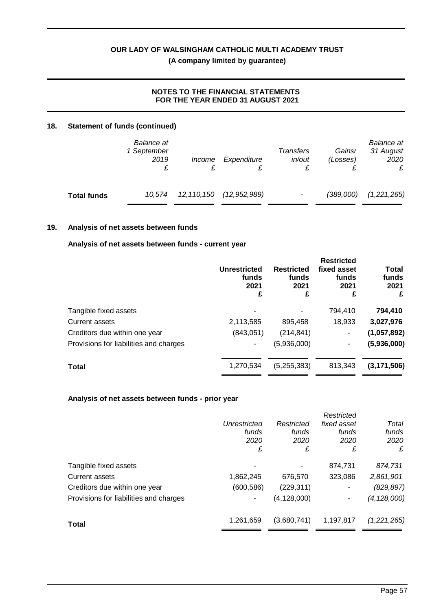## **NOTES TO THE FINANCIAL STATEMENTS FOR THE YEAR ENDED 31 AUGUST 2021**

## **18. Statement of funds (continued)**

|                    | Balance at<br>1 September<br>2019 | <i>Income</i> | Expenditure    | Transfers<br>in/out | Gains/<br>(Losses) | <b>Balance</b> at<br>31 August<br>2020<br>£ |
|--------------------|-----------------------------------|---------------|----------------|---------------------|--------------------|---------------------------------------------|
| <b>Total funds</b> | 10.574                            | 12, 110, 150  | (12, 952, 989) | ۰                   | (389,000)          | (1,221,265)                                 |

## **19. Analysis of net assets between funds**

#### **Analysis of net assets between funds - current year**

|                                        | <b>Unrestricted</b><br>funds<br>2021<br>£ | <b>Restricted</b><br>funds<br>2021<br>£ | <b>Restricted</b><br>fixed asset<br>funds<br>2021<br>£ | <b>Total</b><br>funds<br>2021<br>£ |
|----------------------------------------|-------------------------------------------|-----------------------------------------|--------------------------------------------------------|------------------------------------|
| Tangible fixed assets                  |                                           |                                         | 794,410                                                | 794,410                            |
| <b>Current assets</b>                  | 2,113,585                                 | 895,458                                 | 18,933                                                 | 3,027,976                          |
| Creditors due within one year          | (843,051)                                 | (214, 841)                              | ۰                                                      | (1,057,892)                        |
| Provisions for liabilities and charges |                                           | (5,936,000)                             |                                                        | (5,936,000)                        |
| <b>Total</b>                           | 1,270,534                                 | (5,255,383)                             | 813,343                                                | (3, 171, 506)                      |

#### **Analysis of net assets between funds - prior year**

|                                        |              |               | Restricted  |               |
|----------------------------------------|--------------|---------------|-------------|---------------|
|                                        | Unrestricted | Restricted    | fixed asset | Total         |
|                                        | funds        | funds         | funds       | funds         |
|                                        | 2020         | 2020          | 2020        | 2020          |
|                                        | £            | £             | £           | £             |
| Tangible fixed assets                  |              |               | 874,731     | 874,731       |
| Current assets                         | 1,862,245    | 676,570       | 323,086     | 2,861,901     |
| Creditors due within one year          | (600, 586)   | (229, 311)    | ۰           | (829, 897)    |
| Provisions for liabilities and charges | ٠            | (4, 128, 000) |             | (4, 128, 000) |
| <b>Total</b>                           | 1,261,659    | (3,680,741)   | 1,197,817   | (1,221,265)   |
|                                        |              |               |             |               |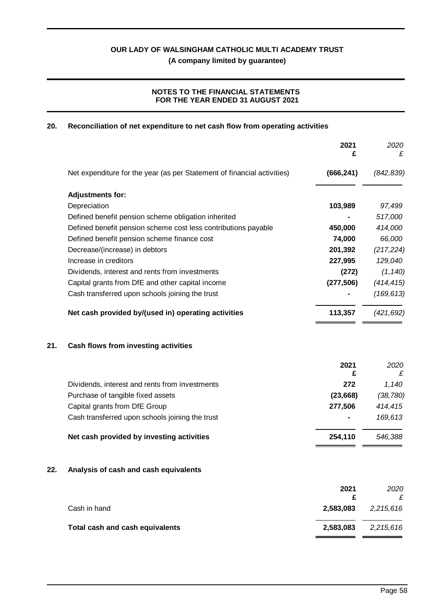## **NOTES TO THE FINANCIAL STATEMENTS FOR THE YEAR ENDED 31 AUGUST 2021**

## **20. Reconciliation of net expenditure to net cash flow from operating activities**

|     |                                                                         | 2021<br>£  | 2020<br>£  |
|-----|-------------------------------------------------------------------------|------------|------------|
|     | Net expenditure for the year (as per Statement of financial activities) | (666, 241) | (842, 839) |
|     | <b>Adjustments for:</b>                                                 |            |            |
|     | Depreciation                                                            | 103,989    | 97,499     |
|     | Defined benefit pension scheme obligation inherited                     |            | 517,000    |
|     | Defined benefit pension scheme cost less contributions payable          | 450,000    | 414,000    |
|     | Defined benefit pension scheme finance cost                             | 74,000     | 66,000     |
|     | Decrease/(increase) in debtors                                          | 201,392    | (217, 224) |
|     | Increase in creditors                                                   | 227,995    | 129,040    |
|     | Dividends, interest and rents from investments                          | (272)      | (1, 140)   |
|     | Capital grants from DfE and other capital income                        | (277, 506) | (414, 415) |
|     | Cash transferred upon schools joining the trust                         |            | (169, 613) |
|     | Net cash provided by/(used in) operating activities                     | 113,357    | (421, 692) |
| 21. | Cash flows from investing activities                                    |            |            |
|     |                                                                         | 2021<br>£  | 2020<br>£  |
|     | Dividends, interest and rents from investments                          | 272        | 1,140      |
|     | Purchase of tangible fixed assets                                       | (23, 668)  | (38, 780)  |
|     | Capital grants from DfE Group                                           | 277,506    | 414,415    |
|     | Cash transferred upon schools joining the trust                         |            | 169,613    |
|     | Net cash provided by investing activities                               | 254,110    | 546,388    |
| 22. | Analysis of cash and cash equivalents                                   |            |            |
|     |                                                                         | 2021<br>£  | 2020<br>£  |
|     | Cash in hand                                                            | 2,583,083  | 2,215,616  |
|     | Total cash and cash equivalents                                         | 2,583,083  | 2,215,616  |
|     |                                                                         |            |            |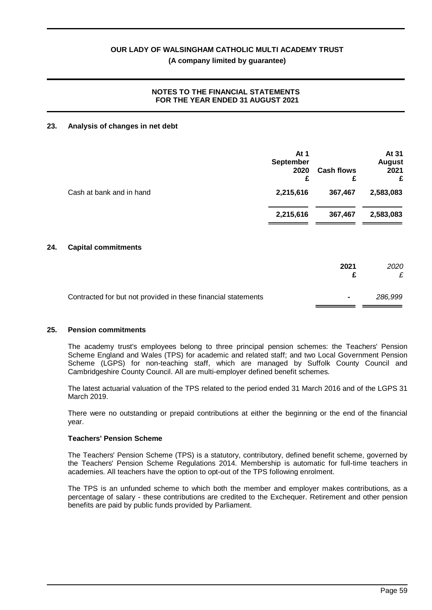## **NOTES TO THE FINANCIAL STATEMENTS FOR THE YEAR ENDED 31 AUGUST 2021**

#### **23. Analysis of changes in net debt**

|                          | At $1$<br>September<br>2020<br>£ | <b>Cash flows</b><br>£ | At 31<br><b>August</b><br>2021<br>£ |
|--------------------------|----------------------------------|------------------------|-------------------------------------|
| Cash at bank and in hand | 2,215,616                        | 367,467                | 2,583,083                           |
|                          | 2,215,616                        | 367,467                | 2,583,083                           |

#### **24. Capital commitments**

|                                                               | 2021           | 2020<br>£ |
|---------------------------------------------------------------|----------------|-----------|
| Contracted for but not provided in these financial statements | $\blacksquare$ | 286.999   |

#### **25. Pension commitments**

The academy trust's employees belong to three principal pension schemes: the Teachers' Pension Scheme England and Wales (TPS) for academic and related staff; and two Local Government Pension Scheme (LGPS) for non-teaching staff, which are managed by Suffolk County Council and Cambridgeshire County Council. All are multi-employer defined benefit schemes.

The latest actuarial valuation of the TPS related to the period ended 31 March 2016 and of the LGPS 31 March 2019.

There were no outstanding or prepaid contributions at either the beginning or the end of the financial year.

#### **Teachers' Pension Scheme**

The Teachers' Pension Scheme (TPS) is a statutory, contributory, defined benefit scheme, governed by the Teachers' Pension Scheme Regulations 2014. Membership is automatic for full-time teachers in academies. All teachers have the option to opt-out of the TPS following enrolment.

The TPS is an unfunded scheme to which both the member and employer makes contributions, as a percentage of salary - these contributions are credited to the Exchequer. Retirement and other pension benefits are paid by public funds provided by Parliament.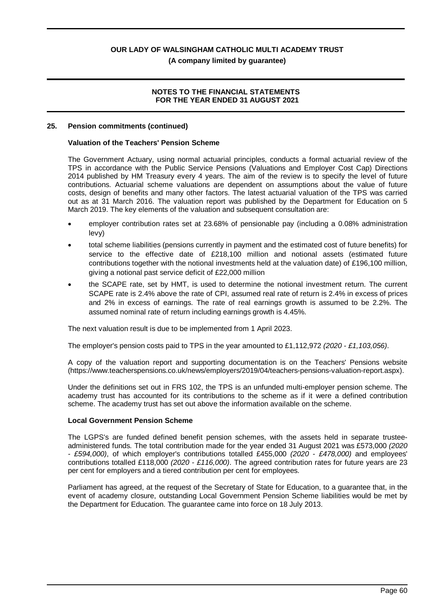**(A company limited by guarantee)**

## **NOTES TO THE FINANCIAL STATEMENTS FOR THE YEAR ENDED 31 AUGUST 2021**

#### **25. Pension commitments (continued)**

### **Valuation of the Teachers' Pension Scheme**

The Government Actuary, using normal actuarial principles, conducts a formal actuarial review of the TPS in accordance with the Public Service Pensions (Valuations and Employer Cost Cap) Directions 2014 published by HM Treasury every 4 years. The aim of the review is to specify the level of future contributions. Actuarial scheme valuations are dependent on assumptions about the value of future costs, design of benefits and many other factors. The latest actuarial valuation of the TPS was carried out as at 31 March 2016. The valuation report was published by the Department for Education on 5 March 2019. The key elements of the valuation and subsequent consultation are:

- · employer contribution rates set at 23.68% of pensionable pay (including a 0.08% administration levy)
- · total scheme liabilities (pensions currently in payment and the estimated cost of future benefits) for service to the effective date of £218,100 million and notional assets (estimated future contributions together with the notional investments held at the valuation date) of £196,100 million, giving a notional past service deficit of £22,000 million
- · the SCAPE rate, set by HMT, is used to determine the notional investment return. The current SCAPE rate is 2.4% above the rate of CPI, assumed real rate of return is 2.4% in excess of prices and 2% in excess of earnings. The rate of real earnings growth is assumed to be 2.2%. The assumed nominal rate of return including earnings growth is 4.45%.

The next valuation result is due to be implemented from 1 April 2023.

The employer's pension costs paid to TPS in the year amounted to £1,112,972 *(2020 - £1,103,056)*.

A copy of the valuation report and supporting documentation is on the Teachers' Pensions website (https://www.teacherspensions.co.uk/news/employers/2019/04/teachers-pensions-valuation-report.aspx).

Under the definitions set out in FRS 102, the TPS is an unfunded multi-employer pension scheme. The academy trust has accounted for its contributions to the scheme as if it were a defined contribution scheme. The academy trust has set out above the information available on the scheme.

#### **Local Government Pension Scheme**

The LGPS's are funded defined benefit pension schemes, with the assets held in separate trusteeadministered funds. The total contribution made for the year ended 31 August 2021 was £573,000 *(2020 - £594,000)*, of which employer's contributions totalled £455,000 *(2020 - £478,000)* and employees' contributions totalled £118,000 *(2020 - £116,000)*. The agreed contribution rates for future years are 23 per cent for employers and a tiered contribution per cent for employees.

Parliament has agreed, at the request of the Secretary of State for Education, to a guarantee that, in the event of academy closure, outstanding Local Government Pension Scheme liabilities would be met by the Department for Education. The guarantee came into force on 18 July 2013.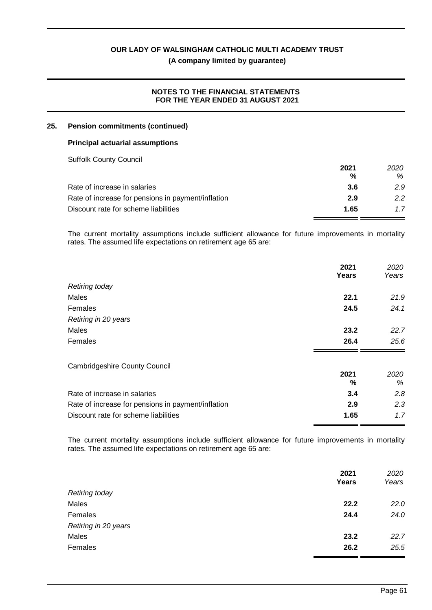**(A company limited by guarantee)**

## **NOTES TO THE FINANCIAL STATEMENTS FOR THE YEAR ENDED 31 AUGUST 2021**

## **25. Pension commitments (continued)**

#### **Principal actuarial assumptions**

Suffolk County Council

|                                                    | 2021 | 2020 |
|----------------------------------------------------|------|------|
|                                                    | %    | %    |
| Rate of increase in salaries                       | -3.6 | 2.9  |
| Rate of increase for pensions in payment/inflation | 2.9  | 2.2  |
| Discount rate for scheme liabilities               | 1.65 | 1.7  |

The current mortality assumptions include sufficient allowance for future improvements in mortality rates. The assumed life expectations on retirement age 65 are:

|                                                    | 2021<br>Years | 2020<br>Years |
|----------------------------------------------------|---------------|---------------|
| <b>Retiring today</b>                              |               |               |
| Males                                              | 22.1          | 21.9          |
| Females                                            | 24.5          | 24.1          |
| Retiring in 20 years                               |               |               |
| Males                                              | 23.2          | 22.7          |
| Females                                            | 26.4          | 25.6          |
| <b>Cambridgeshire County Council</b>               |               |               |
|                                                    | 2021          | 2020          |
|                                                    | ℅             | %             |
| Rate of increase in salaries                       | 3.4           | 2.8           |
| Rate of increase for pensions in payment/inflation | 2.9           | 2.3           |
| Discount rate for scheme liabilities               | 1.65          | 1.7           |

The current mortality assumptions include sufficient allowance for future improvements in mortality rates. The assumed life expectations on retirement age 65 are:

|                       | 2021<br>Years | 2020<br>Years |
|-----------------------|---------------|---------------|
| <b>Retiring today</b> |               |               |
| Males                 | 22.2          | 22.0          |
| Females               | 24.4          | 24.0          |
| Retiring in 20 years  |               |               |
| Males                 | 23.2          | 22.7          |
| Females               | 26.2          | 25.5          |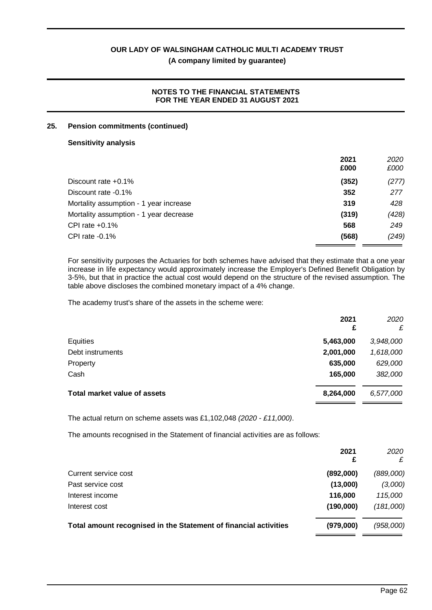## **(A company limited by guarantee)**

## **NOTES TO THE FINANCIAL STATEMENTS FOR THE YEAR ENDED 31 AUGUST 2021**

#### **25. Pension commitments (continued)**

#### **Sensitivity analysis**

|                                        | 2021<br>£000 | 2020<br>£000 |
|----------------------------------------|--------------|--------------|
| Discount rate $+0.1\%$                 | (352)        | (277)        |
| Discount rate -0.1%                    | 352          | 277          |
| Mortality assumption - 1 year increase | 319          | 428          |
| Mortality assumption - 1 year decrease | (319)        | (428)        |
| CPI rate $+0.1\%$                      | 568          | 249          |
| CPI rate $-0.1\%$                      | (568)        | (249)        |

For sensitivity purposes the Actuaries for both schemes have advised that they estimate that a one year increase in life expectancy would approximately increase the Employer's Defined Benefit Obligation by 3-5%, but that in practice the actual cost would depend on the structure of the revised assumption. The table above discloses the combined monetary impact of a 4% change.

The academy trust's share of the assets in the scheme were:

| 2021<br>£ | 2020<br>£ |
|-----------|-----------|
| 5,463,000 | 3,948,000 |
| 2,001,000 | 1,618,000 |
| 635,000   | 629,000   |
| 165,000   | 382,000   |
| 8,264,000 | 6,577,000 |
|           |           |

The actual return on scheme assets was £1,102,048 *(2020 - £11,000)*.

The amounts recognised in the Statement of financial activities are as follows:

|                                                                  | 2021<br>£ | 2020<br>£ |
|------------------------------------------------------------------|-----------|-----------|
| Current service cost                                             | (892,000) | (889,000) |
| Past service cost                                                | (13,000)  | (3,000)   |
| Interest income                                                  | 116,000   | 115,000   |
| Interest cost                                                    | (190,000) | (181,000) |
| Total amount recognised in the Statement of financial activities | (979,000) | (958,000) |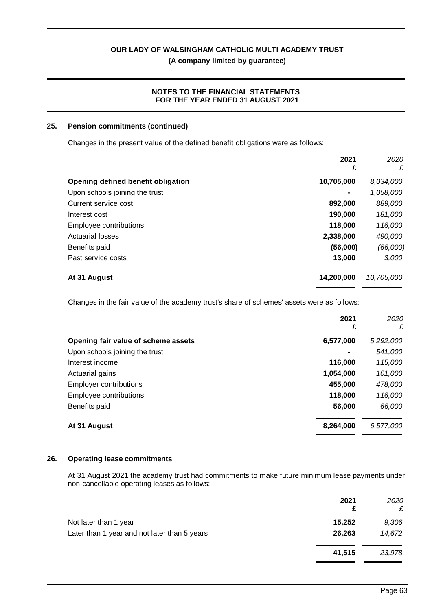**(A company limited by guarantee)**

## **NOTES TO THE FINANCIAL STATEMENTS FOR THE YEAR ENDED 31 AUGUST 2021**

## **25. Pension commitments (continued)**

Changes in the present value of the defined benefit obligations were as follows:

|                                    | 2021<br>£  | 2020<br>£  |
|------------------------------------|------------|------------|
| Opening defined benefit obligation | 10,705,000 | 8,034,000  |
| Upon schools joining the trust     | -          | 1,058,000  |
| Current service cost               | 892,000    | 889,000    |
| Interest cost                      | 190,000    | 181,000    |
| Employee contributions             | 118,000    | 116,000    |
| <b>Actuarial losses</b>            | 2,338,000  | 490,000    |
| Benefits paid                      | (56,000)   | (66,000)   |
| Past service costs                 | 13,000     | 3,000      |
| At 31 August                       | 14,200,000 | 10,705,000 |

Changes in the fair value of the academy trust's share of schemes' assets were as follows:

|                                     | 2021<br>£ | 2020<br>£ |
|-------------------------------------|-----------|-----------|
| Opening fair value of scheme assets | 6,577,000 | 5,292,000 |
| Upon schools joining the trust      |           | 541,000   |
| Interest income                     | 116,000   | 115,000   |
| Actuarial gains                     | 1,054,000 | 101,000   |
| <b>Employer contributions</b>       | 455,000   | 478,000   |
| Employee contributions              | 118,000   | 116,000   |
| Benefits paid                       | 56,000    | 66,000    |
| At 31 August                        | 8,264,000 | 6,577,000 |

#### **26. Operating lease commitments**

At 31 August 2021 the academy trust had commitments to make future minimum lease payments under non-cancellable operating leases as follows:

|                                              | 2021<br>£ | 2020<br>£ |
|----------------------------------------------|-----------|-----------|
| Not later than 1 year                        | 15,252    | 9,306     |
| Later than 1 year and not later than 5 years | 26,263    | 14,672    |
|                                              | 41,515    | 23,978    |